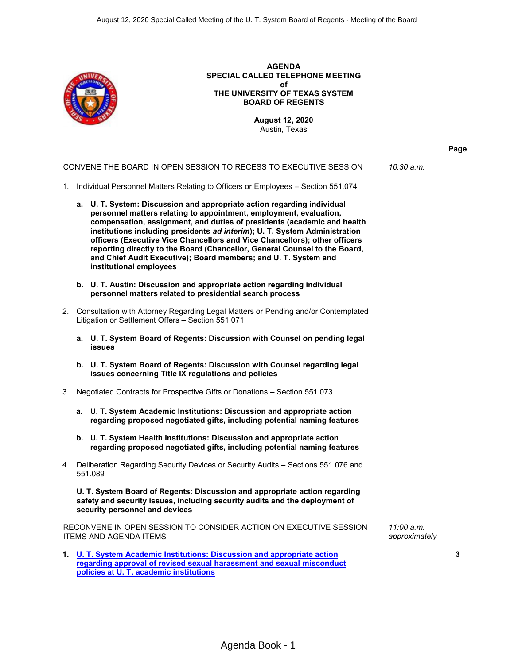

**AGENDA SPECIAL CALLED TELEPHONE MEETING of THE UNIVERSITY OF TEXAS SYSTEM BOARD OF REGENTS**

> **August 12, 2020** Austin, Texas

#### CONVENE THE BOARD IN OPEN SESSION TO RECESS TO EXECUTIVE SESSION *10:30 a.m.*

- 1. Individual Personnel Matters Relating to Officers or Employees Section 551.074
	- **a. U. T. System: Discussion and appropriate action regarding individual personnel matters relating to appointment, employment, evaluation, compensation, assignment, and duties of presidents (academic and health institutions including presidents** *ad interim***); U. T. System Administration officers (Executive Vice Chancellors and Vice Chancellors); other officers reporting directly to the Board (Chancellor, General Counsel to the Board, and Chief Audit Executive); Board members; and U. T. System and institutional employees**
	- **b. U. T. Austin: Discussion and appropriate action regarding individual personnel matters related to presidential search process**
- 2. Consultation with Attorney Regarding Legal Matters or Pending and/or Contemplated Litigation or Settlement Offers – Section 551.071
	- **a. U. T. System Board of Regents: Discussion with Counsel on pending legal issues**
	- **b. U. T. System Board of Regents: Discussion with Counsel regarding legal issues concerning Title IX regulations and policies**
- 3. Negotiated Contracts for Prospective Gifts or Donations Section 551.073
	- **a. U. T. System Academic Institutions: Discussion and appropriate action regarding proposed negotiated gifts, including potential naming features**
	- **b. U. T. System Health Institutions: Discussion and appropriate action regarding proposed negotiated gifts, including potential naming features**
- 4. Deliberation Regarding Security Devices or Security Audits Sections 551.076 and 551.089

**U. T. System Board of Regents: Discussion and appropriate action regarding safety and security issues, including security audits and the deployment of security personnel and devices**

RECONVENE IN OPEN SESSION TO CONSIDER ACTION ON EXECUTIVE SESSION ITEMS AND AGENDA ITEMS

**1. U. T. System Academic Institutions: [Discussion and appropriate action](#page-2-0) [regarding approval of revised sexual harassment and sexual misconduct](#page-2-0) [policies at U. T. academic institutions](#page-2-0)**

*11:00 a.m. approximately*

**3**

**Page**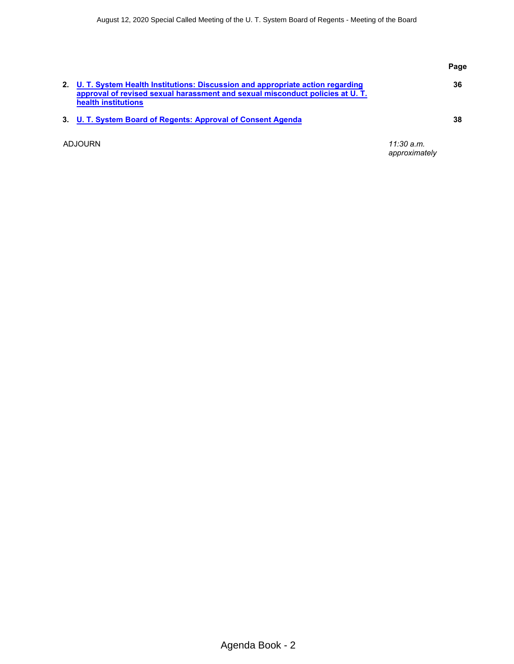|         |                                                                                                                                                                                         |                               | Page |
|---------|-----------------------------------------------------------------------------------------------------------------------------------------------------------------------------------------|-------------------------------|------|
|         | 2. U. T. System Health Institutions: Discussion and appropriate action regarding<br>approval of revised sexual harassment and sexual misconduct policies at U.T.<br>health institutions |                               | 36   |
|         | 3. U. T. System Board of Regents: Approval of Consent Agenda                                                                                                                            |                               | 38   |
| ADJOURN |                                                                                                                                                                                         | $11:30$ a.m.<br>approximately |      |

Agenda Book - 2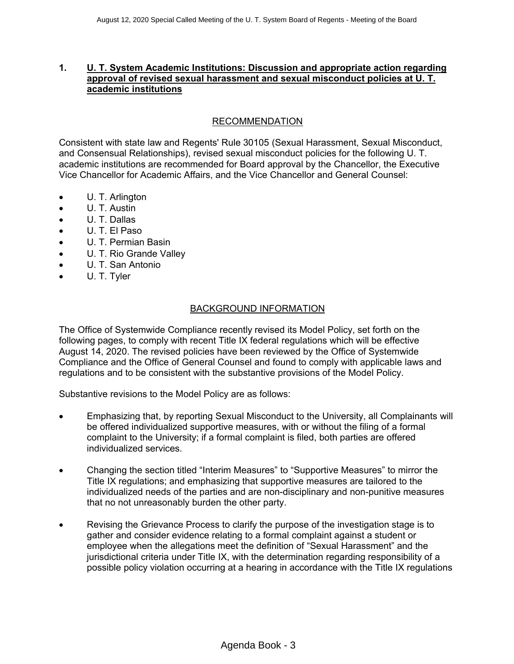## <span id="page-2-0"></span>**1. U. T. System Academic Institutions: Discussion and appropriate action regarding approval of revised sexual harassment and sexual misconduct policies at U. T. academic institutions**

# RECOMMENDATION

Consistent with state law and Regents' Rule 30105 (Sexual Harassment, Sexual Misconduct, and Consensual Relationships), revised sexual misconduct policies for the following U. T. academic institutions are recommended for Board approval by the Chancellor, the Executive Vice Chancellor for Academic Affairs, and the Vice Chancellor and General Counsel:

- U. T. Arlington
- U. T. Austin
- ∑ U. T. Dallas
- ∑ U. T. El Paso
- ∑ U. T. Permian Basin
- U. T. Rio Grande Valley
- ∑ U. T. San Antonio
- ∑ U. T. Tyler

#### BACKGROUND INFORMATION

The Office of Systemwide Compliance recently revised its Model Policy, set forth on the following pages, to comply with recent Title IX federal regulations which will be effective August 14, 2020. The revised policies have been reviewed by the Office of Systemwide Compliance and the Office of General Counsel and found to comply with applicable laws and regulations and to be consistent with the substantive provisions of the Model Policy.

Substantive revisions to the Model Policy are as follows:

- Emphasizing that, by reporting Sexual Misconduct to the University, all Complainants will be offered individualized supportive measures, with or without the filing of a formal complaint to the University; if a formal complaint is filed, both parties are offered individualized services.
- ∑ Changing the section titled "Interim Measures" to "Supportive Measures" to mirror the Title IX regulations; and emphasizing that supportive measures are tailored to the individualized needs of the parties and are non-disciplinary and non-punitive measures that no not unreasonably burden the other party.
- Revising the Grievance Process to clarify the purpose of the investigation stage is to gather and consider evidence relating to a formal complaint against a student or employee when the allegations meet the definition of "Sexual Harassment" and the jurisdictional criteria under Title IX, with the determination regarding responsibility of a possible policy violation occurring at a hearing in accordance with the Title IX regulations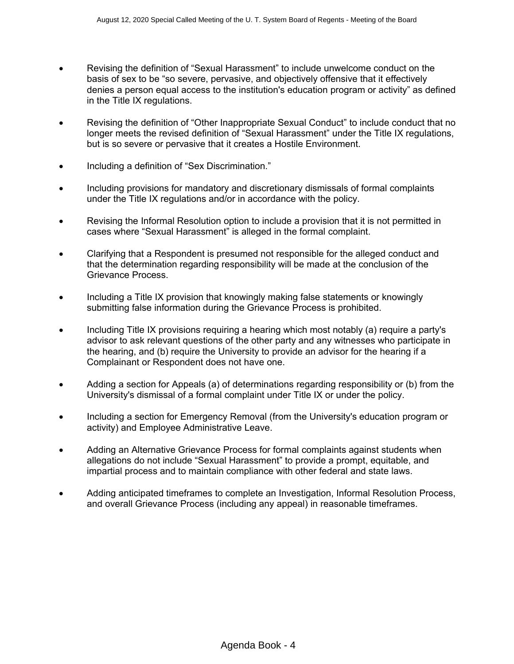- Revising the definition of "Sexual Harassment" to include unwelcome conduct on the basis of sex to be "so severe, pervasive, and objectively offensive that it effectively denies a person equal access to the institution's education program or activity" as defined in the Title IX regulations.
- Revising the definition of "Other Inappropriate Sexual Conduct" to include conduct that no longer meets the revised definition of "Sexual Harassment" under the Title IX regulations, but is so severe or pervasive that it creates a Hostile Environment.
- Including a definition of "Sex Discrimination."
- Including provisions for mandatory and discretionary dismissals of formal complaints under the Title IX regulations and/or in accordance with the policy.
- Revising the Informal Resolution option to include a provision that it is not permitted in cases where "Sexual Harassment" is alleged in the formal complaint.
- ∑ Clarifying that a Respondent is presumed not responsible for the alleged conduct and that the determination regarding responsibility will be made at the conclusion of the Grievance Process.
- Including a Title IX provision that knowingly making false statements or knowingly submitting false information during the Grievance Process is prohibited.
- Including Title IX provisions requiring a hearing which most notably (a) require a party's advisor to ask relevant questions of the other party and any witnesses who participate in the hearing, and (b) require the University to provide an advisor for the hearing if a Complainant or Respondent does not have one.
- Adding a section for Appeals (a) of determinations regarding responsibility or (b) from the University's dismissal of a formal complaint under Title IX or under the policy.
- Including a section for Emergency Removal (from the University's education program or activity) and Employee Administrative Leave.
- ∑ Adding an Alternative Grievance Process for formal complaints against students when allegations do not include "Sexual Harassment" to provide a prompt, equitable, and impartial process and to maintain compliance with other federal and state laws.
- ∑ Adding anticipated timeframes to complete an Investigation, Informal Resolution Process, and overall Grievance Process (including any appeal) in reasonable timeframes.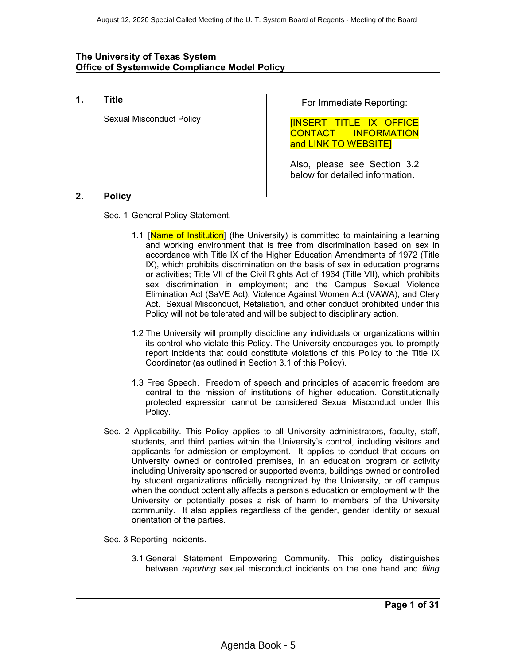**1. Title**

Sexual Misconduct Policy

For Immediate Reporting:

[INSERT TITLE IX OFFICE CONTACT INFORMATION and LINK TO WEBSITE]

Also, please see Section 3.2 below for detailed information.

# **2. Policy**

Sec. 1 General Policy Statement.

- 1.1 [Name of Institution] (the University) is committed to maintaining a learning and working environment that is free from discrimination based on sex in accordance with Title IX of the Higher Education Amendments of 1972 (Title IX), which prohibits discrimination on the basis of sex in education programs or activities; Title VII of the Civil Rights Act of 1964 (Title VII), which prohibits sex discrimination in employment; and the Campus Sexual Violence Elimination Act (SaVE Act), Violence Against Women Act (VAWA), and Clery Act. Sexual Misconduct, Retaliation, and other conduct prohibited under this Policy will not be tolerated and will be subject to disciplinary action.
- 1.2 The University will promptly discipline any individuals or organizations within its control who violate this Policy. The University encourages you to promptly report incidents that could constitute violations of this Policy to the Title IX Coordinator (as outlined in Section 3.1 of this Policy).
- 1.3 Free Speech. Freedom of speech and principles of academic freedom are central to the mission of institutions of higher education. Constitutionally protected expression cannot be considered Sexual Misconduct under this Policy.
- Sec. 2 Applicability. This Policy applies to all University administrators, faculty, staff, students, and third parties within the University's control, including visitors and applicants for admission or employment. It applies to conduct that occurs on University owned or controlled premises, in an education program or activity including University sponsored or supported events, buildings owned or controlled by student organizations officially recognized by the University, or off campus when the conduct potentially affects a person's education or employment with the University or potentially poses a risk of harm to members of the University community. It also applies regardless of the gender, gender identity or sexual orientation of the parties.

Sec. 3 Reporting Incidents.

3.1 General Statement Empowering Community. This policy distinguishes between *reporting* sexual misconduct incidents on the one hand and *filing*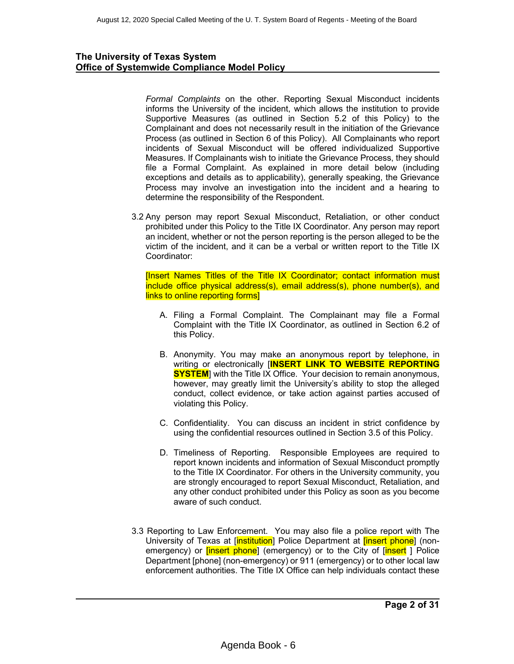*Formal Complaints* on the other. Reporting Sexual Misconduct incidents informs the University of the incident, which allows the institution to provide Supportive Measures (as outlined in Section 5.2 of this Policy) to the Complainant and does not necessarily result in the initiation of the Grievance Process (as outlined in Section 6 of this Policy). All Complainants who report incidents of Sexual Misconduct will be offered individualized Supportive Measures. If Complainants wish to initiate the Grievance Process, they should file a Formal Complaint. As explained in more detail below (including exceptions and details as to applicability), generally speaking, the Grievance Process may involve an investigation into the incident and a hearing to determine the responsibility of the Respondent.

3.2 Any person may report Sexual Misconduct, Retaliation, or other conduct prohibited under this Policy to the Title IX Coordinator. Any person may report an incident, whether or not the person reporting is the person alleged to be the victim of the incident, and it can be a verbal or written report to the Title IX Coordinator:

[Insert Names Titles of the Title IX Coordinator; contact information must include office physical address(s), email address(s), phone number(s), and links to online reporting forms]

- A. Filing a Formal Complaint. The Complainant may file a Formal Complaint with the Title IX Coordinator, as outlined in Section 6.2 of this Policy.
- B. Anonymity. You may make an anonymous report by telephone, in writing or electronically [**INSERT LINK TO WEBSITE REPORTING SYSTEM** with the Title IX Office. Your decision to remain anonymous, however, may greatly limit the University's ability to stop the alleged conduct, collect evidence, or take action against parties accused of violating this Policy.
- C. Confidentiality. You can discuss an incident in strict confidence by using the confidential resources outlined in Section 3.5 of this Policy.
- D. Timeliness of Reporting. Responsible Employees are required to report known incidents and information of Sexual Misconduct promptly to the Title IX Coordinator. For others in the University community, you are strongly encouraged to report Sexual Misconduct, Retaliation, and any other conduct prohibited under this Policy as soon as you become aware of such conduct.
- 3.3 Reporting to Law Enforcement. You may also file a police report with The University of Texas at [institution] Police Department at *[insert phone]* (nonemergency) or *[insert phone]* (emergency) or to the City of *[insert* ] Police Department [phone] (non-emergency) or 911 (emergency) or to other local law enforcement authorities. The Title IX Office can help individuals contact these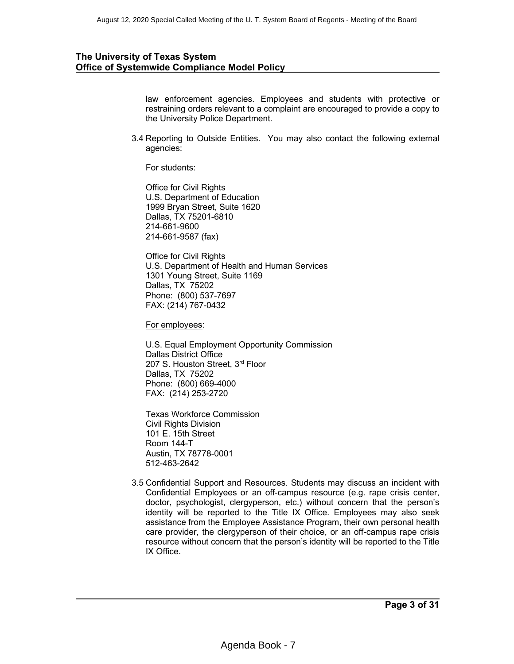law enforcement agencies. Employees and students with protective or restraining orders relevant to a complaint are encouraged to provide a copy to the University Police Department.

3.4 Reporting to Outside Entities. You may also contact the following external agencies:

For students:

Office for Civil Rights U.S. Department of Education 1999 Bryan Street, Suite 1620 Dallas, TX 75201-6810 214-661-9600 214-661-9587 (fax)

Office for Civil Rights U.S. Department of Health and Human Services 1301 Young Street, Suite 1169 Dallas, TX 75202 Phone: (800) 537-7697 FAX: (214) 767-0432

For employees:

U.S. Equal Employment Opportunity Commission Dallas District Office 207 S. Houston Street, 3rd Floor Dallas, TX 75202 Phone: (800) 669-4000 FAX: (214) 253-2720

Texas Workforce Commission Civil Rights Division 101 E. 15th Street Room 144-T Austin, TX 78778-0001 512-463-2642

3.5 Confidential Support and Resources. Students may discuss an incident with Confidential Employees or an off-campus resource (e.g. rape crisis center, doctor, psychologist, clergyperson, etc.) without concern that the person's identity will be reported to the Title IX Office. Employees may also seek assistance from the Employee Assistance Program, their own personal health care provider, the clergyperson of their choice, or an off-campus rape crisis resource without concern that the person's identity will be reported to the Title IX Office.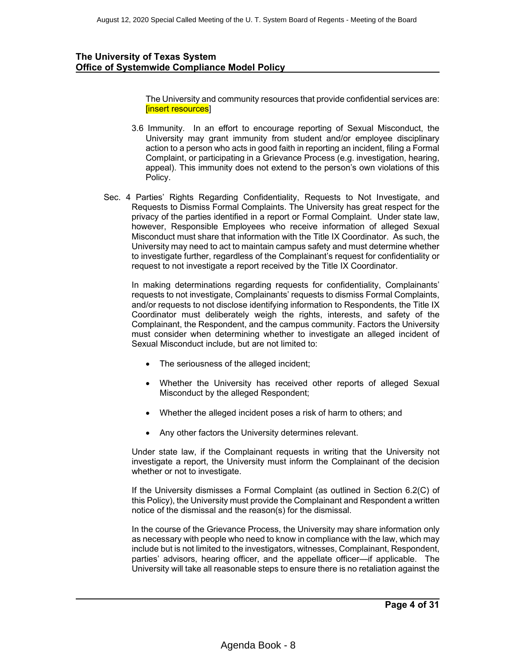The University and community resources that provide confidential services are: [insert resources]

- 3.6 Immunity. In an effort to encourage reporting of Sexual Misconduct, the University may grant immunity from student and/or employee disciplinary action to a person who acts in good faith in reporting an incident, filing a Formal Complaint, or participating in a Grievance Process (e.g. investigation, hearing, appeal). This immunity does not extend to the person's own violations of this Policy.
- Sec. 4 Parties' Rights Regarding Confidentiality, Requests to Not Investigate, and Requests to Dismiss Formal Complaints. The University has great respect for the privacy of the parties identified in a report or Formal Complaint. Under state law, however, Responsible Employees who receive information of alleged Sexual Misconduct must share that information with the Title IX Coordinator. As such, the University may need to act to maintain campus safety and must determine whether to investigate further, regardless of the Complainant's request for confidentiality or request to not investigate a report received by the Title IX Coordinator.

In making determinations regarding requests for confidentiality, Complainants' requests to not investigate, Complainants' requests to dismiss Formal Complaints, and/or requests to not disclose identifying information to Respondents, the Title IX Coordinator must deliberately weigh the rights, interests, and safety of the Complainant, the Respondent, and the campus community. Factors the University must consider when determining whether to investigate an alleged incident of Sexual Misconduct include, but are not limited to:

- The seriousness of the alleged incident;
- Whether the University has received other reports of alleged Sexual Misconduct by the alleged Respondent;
- Whether the alleged incident poses a risk of harm to others; and
- Any other factors the University determines relevant.

Under state law, if the Complainant requests in writing that the University not investigate a report, the University must inform the Complainant of the decision whether or not to investigate.

If the University dismisses a Formal Complaint (as outlined in Section 6.2(C) of this Policy), the University must provide the Complainant and Respondent a written notice of the dismissal and the reason(s) for the dismissal.

In the course of the Grievance Process, the University may share information only as necessary with people who need to know in compliance with the law, which may include but is not limited to the investigators, witnesses, Complainant, Respondent, parties' advisors, hearing officer, and the appellate officer—if applicable. The University will take all reasonable steps to ensure there is no retaliation against the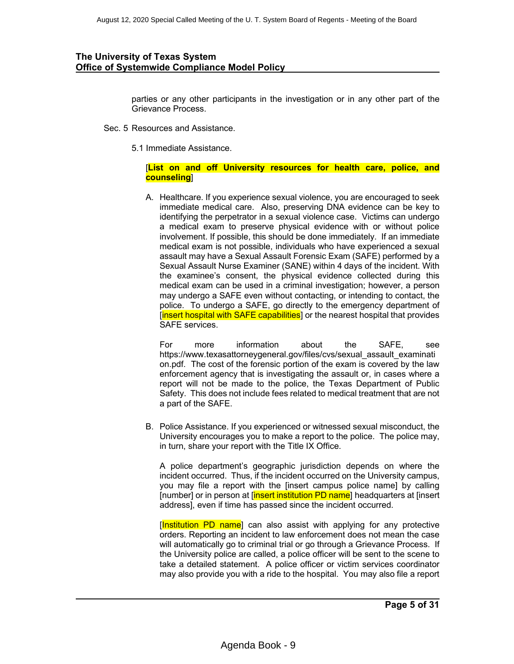parties or any other participants in the investigation or in any other part of the Grievance Process.

- Sec. 5 Resources and Assistance.
	- 5.1 Immediate Assistance.

#### [**List on and off University resources for health care, police, and counseling**]

A. Healthcare. If you experience sexual violence, you are encouraged to seek immediate medical care. Also, preserving DNA evidence can be key to identifying the perpetrator in a sexual violence case. Victims can undergo a medical exam to preserve physical evidence with or without police involvement. If possible, this should be done immediately. If an immediate medical exam is not possible, individuals who have experienced a sexual assault may have a Sexual Assault Forensic Exam (SAFE) performed by a Sexual Assault Nurse Examiner (SANE) within 4 days of the incident. With the examinee's consent, the physical evidence collected during this medical exam can be used in a criminal investigation; however, a person may undergo a SAFE even without contacting, or intending to contact, the police. To undergo a SAFE, go directly to the emergency department of [insert hospital with SAFE capabilities] or the nearest hospital that provides SAFE services.

For more information about the SAFE, see https://www.texasattorneygeneral.gov/files/cvs/sexual\_assault\_examinati on.pdf. The cost of the forensic portion of the exam is covered by the law enforcement agency that is investigating the assault or, in cases where a report will not be made to the police, the Texas Department of Public Safety. This does not include fees related to medical treatment that are not a part of the SAFE.

B. Police Assistance. If you experienced or witnessed sexual misconduct, the University encourages you to make a report to the police. The police may, in turn, share your report with the Title IX Office.

A police department's geographic jurisdiction depends on where the incident occurred. Thus, if the incident occurred on the University campus, you may file a report with the [insert campus police name] by calling [number] or in person at [insert institution PD name] headquarters at [insert] address], even if time has passed since the incident occurred.

[Institution PD name] can also assist with applying for any protective orders. Reporting an incident to law enforcement does not mean the case will automatically go to criminal trial or go through a Grievance Process. If the University police are called, a police officer will be sent to the scene to take a detailed statement. A police officer or victim services coordinator may also provide you with a ride to the hospital. You may also file a report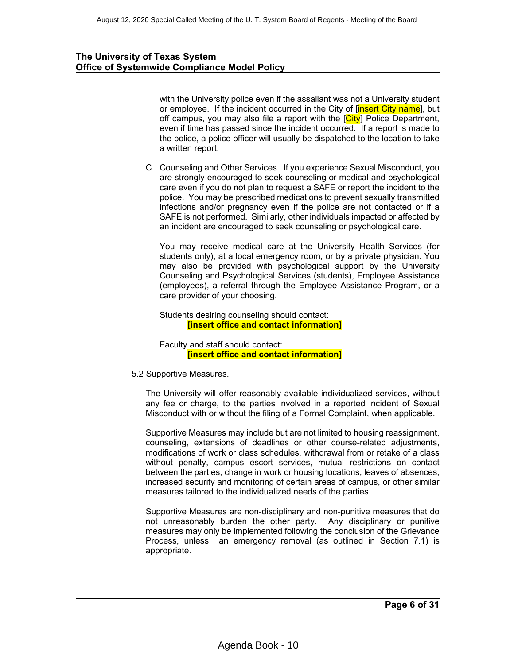with the University police even if the assailant was not a University student or employee. If the incident occurred in the City of *[insert City name]*, but off campus, you may also file a report with the  $\overline{City}$  Police Department, even if time has passed since the incident occurred. If a report is made to the police, a police officer will usually be dispatched to the location to take a written report.

C. Counseling and Other Services. If you experience Sexual Misconduct, you are strongly encouraged to seek counseling or medical and psychological care even if you do not plan to request a SAFE or report the incident to the police. You may be prescribed medications to prevent sexually transmitted infections and/or pregnancy even if the police are not contacted or if a SAFE is not performed. Similarly, other individuals impacted or affected by an incident are encouraged to seek counseling or psychological care.

You may receive medical care at the University Health Services (for students only), at a local emergency room, or by a private physician. You may also be provided with psychological support by the University Counseling and Psychological Services (students), Employee Assistance (employees), a referral through the Employee Assistance Program, or a care provider of your choosing.

Students desiring counseling should contact: **[insert office and contact information]**

Faculty and staff should contact: **[insert office and contact information]**

5.2 Supportive Measures.

The University will offer reasonably available individualized services, without any fee or charge, to the parties involved in a reported incident of Sexual Misconduct with or without the filing of a Formal Complaint, when applicable.

Supportive Measures may include but are not limited to housing reassignment, counseling, extensions of deadlines or other course-related adjustments, modifications of work or class schedules, withdrawal from or retake of a class without penalty, campus escort services, mutual restrictions on contact between the parties, change in work or housing locations, leaves of absences, increased security and monitoring of certain areas of campus, or other similar measures tailored to the individualized needs of the parties.

Supportive Measures are non-disciplinary and non-punitive measures that do not unreasonably burden the other party. Any disciplinary or punitive measures may only be implemented following the conclusion of the Grievance Process, unless an emergency removal (as outlined in Section 7.1) is appropriate.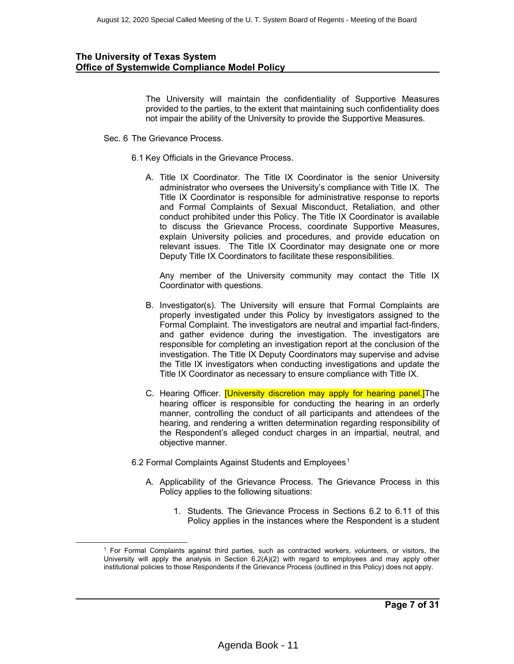The University will maintain the confidentiality of Supportive Measures provided to the parties, to the extent that maintaining such confidentiality does not impair the ability of the University to provide the Supportive Measures.

- Sec. 6 The Grievance Process.
	- 6.1 Key Officials in the Grievance Process.
		- A. Title IX Coordinator. The Title IX Coordinator is the senior University administrator who oversees the University's compliance with Title IX. The Title IX Coordinator is responsible for administrative response to reports and Formal Complaints of Sexual Misconduct, Retaliation, and other conduct prohibited under this Policy. The Title IX Coordinator is available to discuss the Grievance Process, coordinate Supportive Measures, explain University policies and procedures, and provide education on relevant issues. The Title IX Coordinator may designate one or more Deputy Title IX Coordinators to facilitate these responsibilities.

Any member of the University community may contact the Title IX Coordinator with questions.

- B. Investigator(s). The University will ensure that Formal Complaints are properly investigated under this Policy by investigators assigned to the Formal Complaint. The investigators are neutral and impartial fact-finders, and gather evidence during the investigation. The investigators are responsible for completing an investigation report at the conclusion of the investigation. The Title IX Deputy Coordinators may supervise and advise the Title IX investigators when conducting investigations and update the Title IX Coordinator as necessary to ensure compliance with Title IX.
- C. Hearing Officer. **[University discretion may apply for hearing panel.]**The hearing officer is responsible for conducting the hearing in an orderly manner, controlling the conduct of all participants and attendees of the hearing, and rendering a written determination regarding responsibility of the Respondent's alleged conduct charges in an impartial, neutral, and objective manner.
- 6.2 Formal Complaints Against Students and Employees. $^{\rm 1}$ 
	- A. Applicability of the Grievance Process. The Grievance Process in this Policy applies to the following situations:
		- 1. Students. The Grievance Process in Sections 6.2 to 6.11 of this Policy applies in the instances where the Respondent is a student

 $<sup>1</sup>$  For Formal Complaints against third parties, such as contracted workers, volunteers, or visitors, the</sup> University will apply the analysis in Section 6.2(A)(2) with regard to employees and may apply other institutional policies to those Respondents if the Grievance Process (outlined in this Policy) does not apply.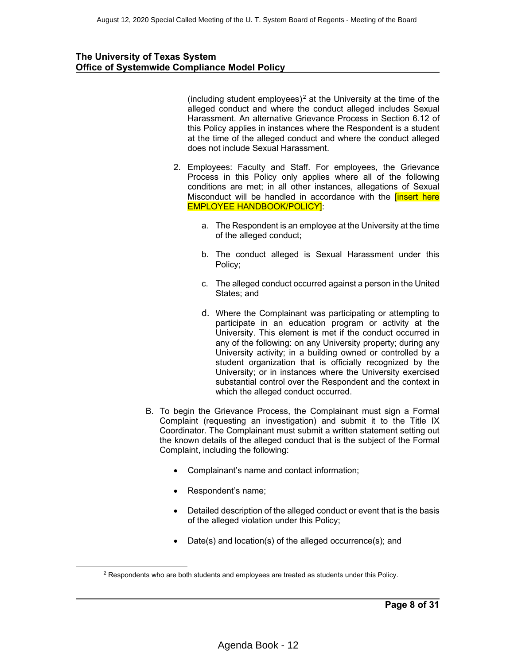(including student employees)<sup>2</sup> at the University at the time of the alleged conduct and where the conduct alleged includes Sexual Harassment. An alternative Grievance Process in Section 6.12 of this Policy applies in instances where the Respondent is a student at the time of the alleged conduct and where the conduct alleged does not include Sexual Harassment.

- 2. Employees: Faculty and Staff. For employees, the Grievance Process in this Policy only applies where all of the following conditions are met; in all other instances, allegations of Sexual Misconduct will be handled in accordance with the linsert here EMPLOYEE HANDBOOK/POLICY]:
	- a. The Respondent is an employee at the University at the time of the alleged conduct;
	- b. The conduct alleged is Sexual Harassment under this Policy;
	- c. The alleged conduct occurred against a person in the United States; and
	- d. Where the Complainant was participating or attempting to participate in an education program or activity at the University. This element is met if the conduct occurred in any of the following: on any University property; during any University activity; in a building owned or controlled by a student organization that is officially recognized by the University; or in instances where the University exercised substantial control over the Respondent and the context in which the alleged conduct occurred.
- B. To begin the Grievance Process, the Complainant must sign a Formal Complaint (requesting an investigation) and submit it to the Title IX Coordinator. The Complainant must submit a written statement setting out the known details of the alleged conduct that is the subject of the Formal Complaint, including the following:
	- Complainant's name and contact information;
	- Respondent's name;
	- Detailed description of the alleged conduct or event that is the basis of the alleged violation under this Policy;
	- Date(s) and location(s) of the alleged occurrence(s); and

<sup>2</sup> Respondents who are both students and employees are treated as students under this Policy.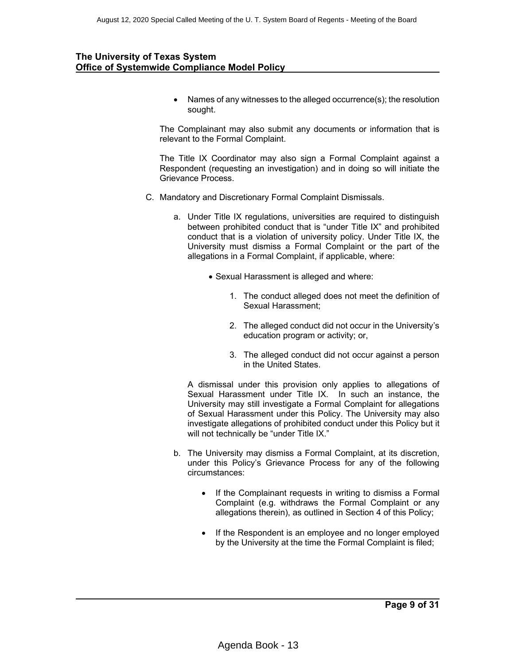• Names of any witnesses to the alleged occurrence(s); the resolution sought.

The Complainant may also submit any documents or information that is relevant to the Formal Complaint.

The Title IX Coordinator may also sign a Formal Complaint against a Respondent (requesting an investigation) and in doing so will initiate the Grievance Process.

- C. Mandatory and Discretionary Formal Complaint Dismissals.
	- a. Under Title IX regulations, universities are required to distinguish between prohibited conduct that is "under Title IX" and prohibited conduct that is a violation of university policy. Under Title IX, the University must dismiss a Formal Complaint or the part of the allegations in a Formal Complaint, if applicable, where:
		- Sexual Harassment is alleged and where:
			- 1. The conduct alleged does not meet the definition of Sexual Harassment;
			- 2. The alleged conduct did not occur in the University's education program or activity; or,
			- 3. The alleged conduct did not occur against a person in the United States.

A dismissal under this provision only applies to allegations of Sexual Harassment under Title IX. In such an instance, the University may still investigate a Formal Complaint for allegations of Sexual Harassment under this Policy. The University may also investigate allegations of prohibited conduct under this Policy but it will not technically be "under Title IX."

- b. The University may dismiss a Formal Complaint, at its discretion, under this Policy's Grievance Process for any of the following circumstances:
	- If the Complainant requests in writing to dismiss a Formal Complaint (e.g. withdraws the Formal Complaint or any allegations therein), as outlined in Section 4 of this Policy;
	- If the Respondent is an employee and no longer employed by the University at the time the Formal Complaint is filed;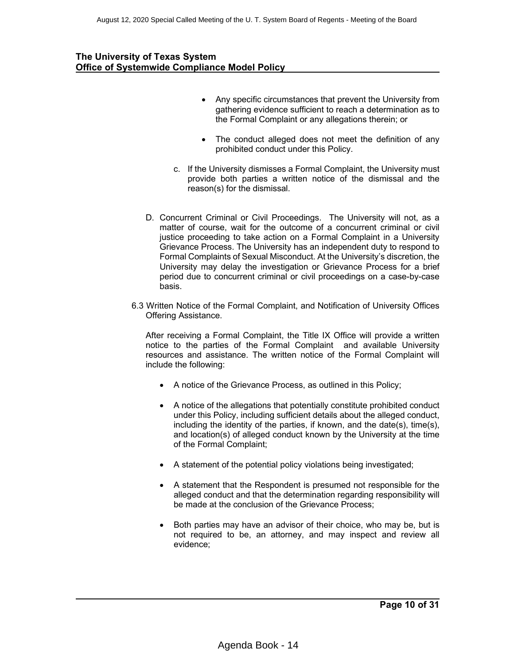- Any specific circumstances that prevent the University from gathering evidence sufficient to reach a determination as to the Formal Complaint or any allegations therein; or
- The conduct alleged does not meet the definition of any prohibited conduct under this Policy.
- c. If the University dismisses a Formal Complaint, the University must provide both parties a written notice of the dismissal and the reason(s) for the dismissal.
- D. Concurrent Criminal or Civil Proceedings. The University will not, as a matter of course, wait for the outcome of a concurrent criminal or civil justice proceeding to take action on a Formal Complaint in a University Grievance Process. The University has an independent duty to respond to Formal Complaints of Sexual Misconduct. At the University's discretion, the University may delay the investigation or Grievance Process for a brief period due to concurrent criminal or civil proceedings on a case-by-case basis.
- 6.3 Written Notice of the Formal Complaint, and Notification of University Offices Offering Assistance.

After receiving a Formal Complaint, the Title IX Office will provide a written notice to the parties of the Formal Complaint and available University resources and assistance. The written notice of the Formal Complaint will include the following:

- A notice of the Grievance Process, as outlined in this Policy;
- A notice of the allegations that potentially constitute prohibited conduct under this Policy, including sufficient details about the alleged conduct, including the identity of the parties, if known, and the date(s), time(s), and location(s) of alleged conduct known by the University at the time of the Formal Complaint;
- A statement of the potential policy violations being investigated;
- A statement that the Respondent is presumed not responsible for the alleged conduct and that the determination regarding responsibility will be made at the conclusion of the Grievance Process;
- Both parties may have an advisor of their choice, who may be, but is not required to be, an attorney, and may inspect and review all evidence;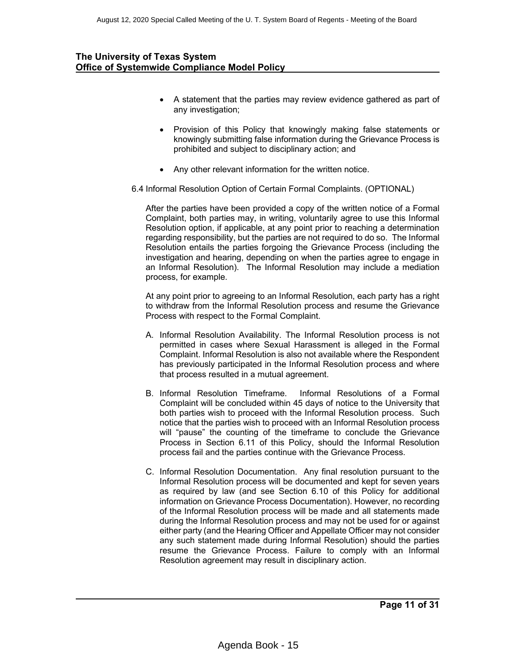- A statement that the parties may review evidence gathered as part of any investigation;
- Provision of this Policy that knowingly making false statements or knowingly submitting false information during the Grievance Process is prohibited and subject to disciplinary action; and
- Any other relevant information for the written notice.
- 6.4 Informal Resolution Option of Certain Formal Complaints. (OPTIONAL)

After the parties have been provided a copy of the written notice of a Formal Complaint, both parties may, in writing, voluntarily agree to use this Informal Resolution option, if applicable, at any point prior to reaching a determination regarding responsibility, but the parties are not required to do so. The Informal Resolution entails the parties forgoing the Grievance Process (including the investigation and hearing, depending on when the parties agree to engage in an Informal Resolution). The Informal Resolution may include a mediation process, for example.

At any point prior to agreeing to an Informal Resolution, each party has a right to withdraw from the Informal Resolution process and resume the Grievance Process with respect to the Formal Complaint.

- A. Informal Resolution Availability. The Informal Resolution process is not permitted in cases where Sexual Harassment is alleged in the Formal Complaint. Informal Resolution is also not available where the Respondent has previously participated in the Informal Resolution process and where that process resulted in a mutual agreement.
- B. Informal Resolution Timeframe. Informal Resolutions of a Formal Complaint will be concluded within 45 days of notice to the University that both parties wish to proceed with the Informal Resolution process. Such notice that the parties wish to proceed with an Informal Resolution process will "pause" the counting of the timeframe to conclude the Grievance Process in Section 6.11 of this Policy, should the Informal Resolution process fail and the parties continue with the Grievance Process.
- C. Informal Resolution Documentation. Any final resolution pursuant to the Informal Resolution process will be documented and kept for seven years as required by law (and see Section 6.10 of this Policy for additional information on Grievance Process Documentation). However, no recording of the Informal Resolution process will be made and all statements made during the Informal Resolution process and may not be used for or against either party (and the Hearing Officer and Appellate Officer may not consider any such statement made during Informal Resolution) should the parties resume the Grievance Process. Failure to comply with an Informal Resolution agreement may result in disciplinary action.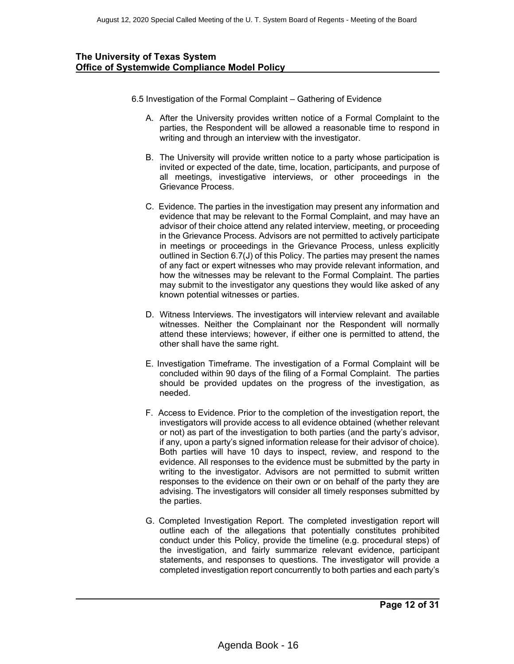- 6.5 Investigation of the Formal Complaint Gathering of Evidence
	- A. After the University provides written notice of a Formal Complaint to the parties, the Respondent will be allowed a reasonable time to respond in writing and through an interview with the investigator.
	- B. The University will provide written notice to a party whose participation is invited or expected of the date, time, location, participants, and purpose of all meetings, investigative interviews, or other proceedings in the Grievance Process.
	- C. Evidence. The parties in the investigation may present any information and evidence that may be relevant to the Formal Complaint, and may have an advisor of their choice attend any related interview, meeting, or proceeding in the Grievance Process. Advisors are not permitted to actively participate in meetings or proceedings in the Grievance Process, unless explicitly outlined in Section 6.7(J) of this Policy. The parties may present the names of any fact or expert witnesses who may provide relevant information, and how the witnesses may be relevant to the Formal Complaint. The parties may submit to the investigator any questions they would like asked of any known potential witnesses or parties.
	- D. Witness Interviews. The investigators will interview relevant and available witnesses. Neither the Complainant nor the Respondent will normally attend these interviews; however, if either one is permitted to attend, the other shall have the same right.
	- E. Investigation Timeframe. The investigation of a Formal Complaint will be concluded within 90 days of the filing of a Formal Complaint. The parties should be provided updates on the progress of the investigation, as needed.
	- F. Access to Evidence. Prior to the completion of the investigation report, the investigators will provide access to all evidence obtained (whether relevant or not) as part of the investigation to both parties (and the party's advisor, if any, upon a party's signed information release for their advisor of choice). Both parties will have 10 days to inspect, review, and respond to the evidence. All responses to the evidence must be submitted by the party in writing to the investigator. Advisors are not permitted to submit written responses to the evidence on their own or on behalf of the party they are advising. The investigators will consider all timely responses submitted by the parties.
	- G. Completed Investigation Report. The completed investigation report will outline each of the allegations that potentially constitutes prohibited conduct under this Policy, provide the timeline (e.g. procedural steps) of the investigation, and fairly summarize relevant evidence, participant statements, and responses to questions. The investigator will provide a completed investigation report concurrently to both parties and each party's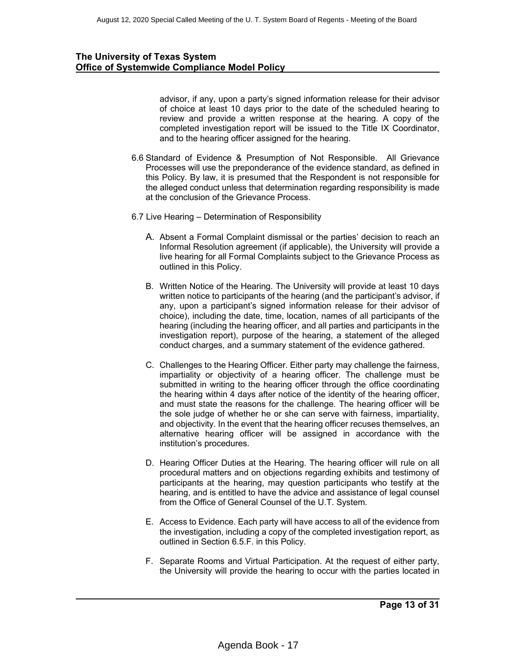advisor, if any, upon a party's signed information release for their advisor of choice at least 10 days prior to the date of the scheduled hearing to review and provide a written response at the hearing. A copy of the completed investigation report will be issued to the Title IX Coordinator, and to the hearing officer assigned for the hearing.

- 6.6 Standard of Evidence & Presumption of Not Responsible. All Grievance Processes will use the preponderance of the evidence standard, as defined in this Policy. By law, it is presumed that the Respondent is not responsible for the alleged conduct unless that determination regarding responsibility is made at the conclusion of the Grievance Process.
- 6.7 Live Hearing Determination of Responsibility
	- A. Absent a Formal Complaint dismissal or the parties' decision to reach an Informal Resolution agreement (if applicable), the University will provide a live hearing for all Formal Complaints subject to the Grievance Process as outlined in this Policy.
	- B. Written Notice of the Hearing. The University will provide at least 10 days written notice to participants of the hearing (and the participant's advisor, if any, upon a participant's signed information release for their advisor of choice), including the date, time, location, names of all participants of the hearing (including the hearing officer, and all parties and participants in the investigation report), purpose of the hearing, a statement of the alleged conduct charges, and a summary statement of the evidence gathered.
	- C. Challenges to the Hearing Officer. Either party may challenge the fairness, impartiality or objectivity of a hearing officer. The challenge must be submitted in writing to the hearing officer through the office coordinating the hearing within 4 days after notice of the identity of the hearing officer, and must state the reasons for the challenge. The hearing officer will be the sole judge of whether he or she can serve with fairness, impartiality, and objectivity. In the event that the hearing officer recuses themselves, an alternative hearing officer will be assigned in accordance with the institution's procedures.
	- D. Hearing Officer Duties at the Hearing. The hearing officer will rule on all procedural matters and on objections regarding exhibits and testimony of participants at the hearing, may question participants who testify at the hearing, and is entitled to have the advice and assistance of legal counsel from the Office of General Counsel of the U.T. System.
	- E. Access to Evidence. Each party will have access to all of the evidence from the investigation, including a copy of the completed investigation report, as outlined in Section 6.5.F. in this Policy.
	- F. Separate Rooms and Virtual Participation. At the request of either party, the University will provide the hearing to occur with the parties located in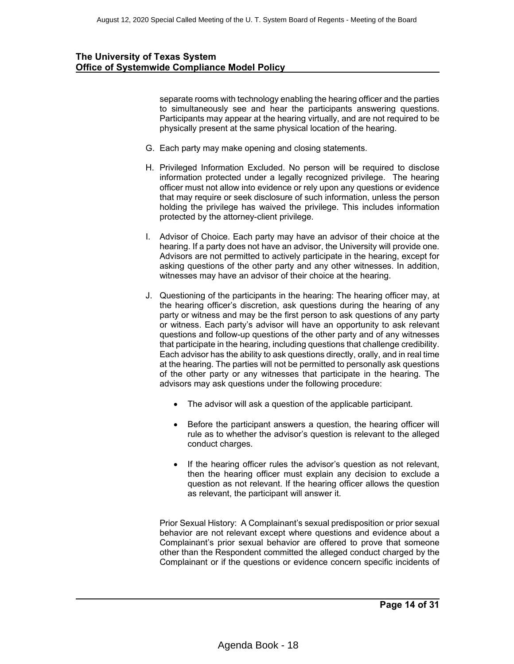separate rooms with technology enabling the hearing officer and the parties to simultaneously see and hear the participants answering questions. Participants may appear at the hearing virtually, and are not required to be physically present at the same physical location of the hearing.

- G. Each party may make opening and closing statements.
- H. Privileged Information Excluded. No person will be required to disclose information protected under a legally recognized privilege. The hearing officer must not allow into evidence or rely upon any questions or evidence that may require or seek disclosure of such information, unless the person holding the privilege has waived the privilege. This includes information protected by the attorney-client privilege.
- I. Advisor of Choice. Each party may have an advisor of their choice at the hearing. If a party does not have an advisor, the University will provide one. Advisors are not permitted to actively participate in the hearing, except for asking questions of the other party and any other witnesses. In addition, witnesses may have an advisor of their choice at the hearing.
- J. Questioning of the participants in the hearing: The hearing officer may, at the hearing officer's discretion, ask questions during the hearing of any party or witness and may be the first person to ask questions of any party or witness. Each party's advisor will have an opportunity to ask relevant questions and follow-up questions of the other party and of any witnesses that participate in the hearing, including questions that challenge credibility. Each advisor has the ability to ask questions directly, orally, and in real time at the hearing. The parties will not be permitted to personally ask questions of the other party or any witnesses that participate in the hearing. The advisors may ask questions under the following procedure:
	- The advisor will ask a question of the applicable participant.
	- Before the participant answers a question, the hearing officer will rule as to whether the advisor's question is relevant to the alleged conduct charges.
	- If the hearing officer rules the advisor's question as not relevant, then the hearing officer must explain any decision to exclude a question as not relevant. If the hearing officer allows the question as relevant, the participant will answer it.

Prior Sexual History: A Complainant's sexual predisposition or prior sexual behavior are not relevant except where questions and evidence about a Complainant's prior sexual behavior are offered to prove that someone other than the Respondent committed the alleged conduct charged by the Complainant or if the questions or evidence concern specific incidents of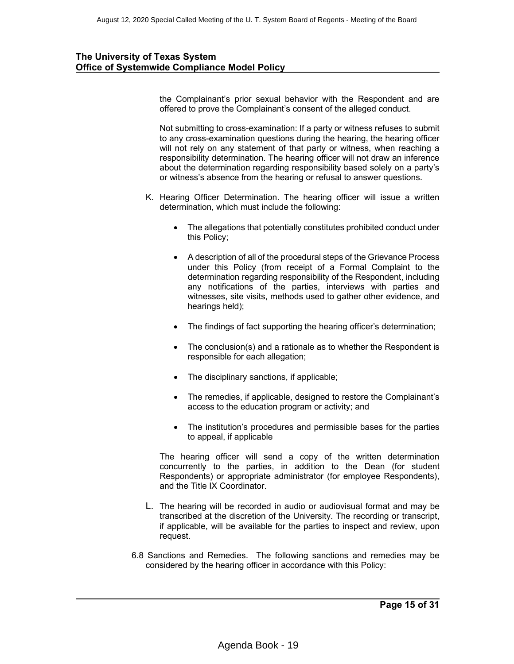the Complainant's prior sexual behavior with the Respondent and are offered to prove the Complainant's consent of the alleged conduct.

Not submitting to cross-examination: If a party or witness refuses to submit to any cross-examination questions during the hearing, the hearing officer will not rely on any statement of that party or witness, when reaching a responsibility determination. The hearing officer will not draw an inference about the determination regarding responsibility based solely on a party's or witness's absence from the hearing or refusal to answer questions.

- K. Hearing Officer Determination. The hearing officer will issue a written determination, which must include the following:
	- The allegations that potentially constitutes prohibited conduct under this Policy;
	- A description of all of the procedural steps of the Grievance Process under this Policy (from receipt of a Formal Complaint to the determination regarding responsibility of the Respondent, including any notifications of the parties, interviews with parties and witnesses, site visits, methods used to gather other evidence, and hearings held);
	- The findings of fact supporting the hearing officer's determination;
	- The conclusion(s) and a rationale as to whether the Respondent is responsible for each allegation;
	- The disciplinary sanctions, if applicable;
	- The remedies, if applicable, designed to restore the Complainant's access to the education program or activity; and
	- The institution's procedures and permissible bases for the parties to appeal, if applicable

The hearing officer will send a copy of the written determination concurrently to the parties, in addition to the Dean (for student Respondents) or appropriate administrator (for employee Respondents), and the Title IX Coordinator.

- L. The hearing will be recorded in audio or audiovisual format and may be transcribed at the discretion of the University. The recording or transcript, if applicable, will be available for the parties to inspect and review, upon request.
- 6.8 Sanctions and Remedies. The following sanctions and remedies may be considered by the hearing officer in accordance with this Policy: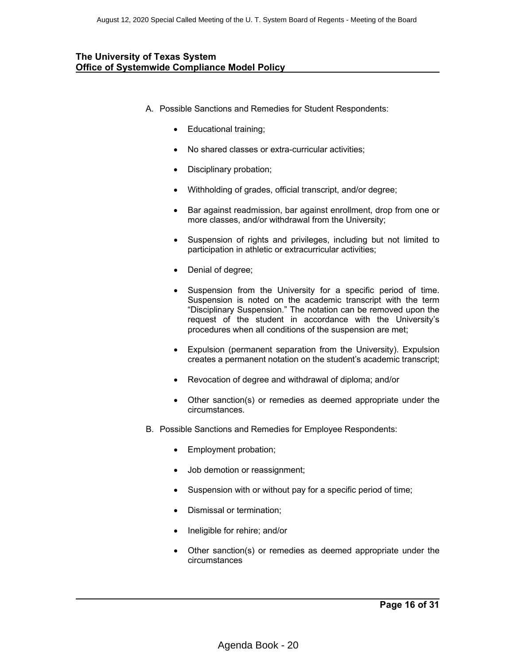- A. Possible Sanctions and Remedies for Student Respondents:
	- Educational training;
	- No shared classes or extra-curricular activities;
	- Disciplinary probation;
	- Withholding of grades, official transcript, and/or degree;
	- Bar against readmission, bar against enrollment, drop from one or more classes, and/or withdrawal from the University;
	- Suspension of rights and privileges, including but not limited to participation in athletic or extracurricular activities;
	- Denial of degree;
	- Suspension from the University for a specific period of time. Suspension is noted on the academic transcript with the term "Disciplinary Suspension." The notation can be removed upon the request of the student in accordance with the University's procedures when all conditions of the suspension are met;
	- Expulsion (permanent separation from the University). Expulsion creates a permanent notation on the student's academic transcript;
	- Revocation of degree and withdrawal of diploma; and/or
	- Other sanction(s) or remedies as deemed appropriate under the circumstances.
- B. Possible Sanctions and Remedies for Employee Respondents:
	- Employment probation;
	- Job demotion or reassignment;
	- Suspension with or without pay for a specific period of time;
	- Dismissal or termination;
	- Ineligible for rehire; and/or
	- Other sanction(s) or remedies as deemed appropriate under the circumstances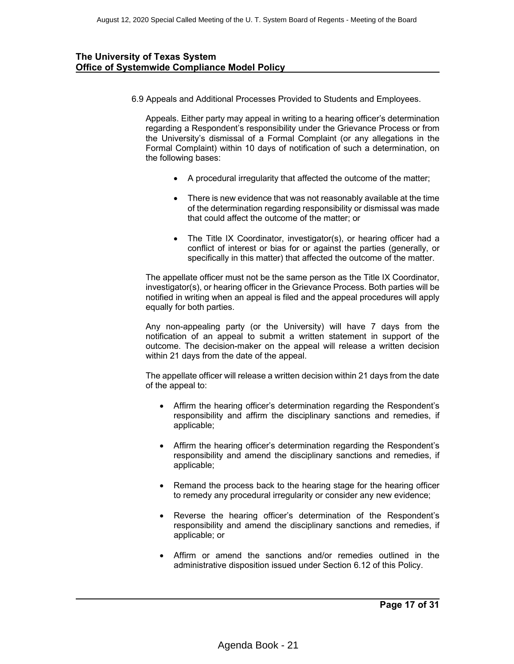6.9 Appeals and Additional Processes Provided to Students and Employees.

Appeals. Either party may appeal in writing to a hearing officer's determination regarding a Respondent's responsibility under the Grievance Process or from the University's dismissal of a Formal Complaint (or any allegations in the Formal Complaint) within 10 days of notification of such a determination, on the following bases:

- A procedural irregularity that affected the outcome of the matter;
- There is new evidence that was not reasonably available at the time of the determination regarding responsibility or dismissal was made that could affect the outcome of the matter; or
- The Title IX Coordinator, investigator(s), or hearing officer had a conflict of interest or bias for or against the parties (generally, or specifically in this matter) that affected the outcome of the matter.

The appellate officer must not be the same person as the Title IX Coordinator, investigator(s), or hearing officer in the Grievance Process. Both parties will be notified in writing when an appeal is filed and the appeal procedures will apply equally for both parties.

Any non-appealing party (or the University) will have 7 days from the notification of an appeal to submit a written statement in support of the outcome. The decision-maker on the appeal will release a written decision within 21 days from the date of the appeal.

The appellate officer will release a written decision within 21 days from the date of the appeal to:

- Affirm the hearing officer's determination regarding the Respondent's responsibility and affirm the disciplinary sanctions and remedies, if applicable;
- Affirm the hearing officer's determination regarding the Respondent's responsibility and amend the disciplinary sanctions and remedies, if applicable;
- Remand the process back to the hearing stage for the hearing officer to remedy any procedural irregularity or consider any new evidence;
- Reverse the hearing officer's determination of the Respondent's responsibility and amend the disciplinary sanctions and remedies, if applicable; or
- Affirm or amend the sanctions and/or remedies outlined in the administrative disposition issued under Section 6.12 of this Policy.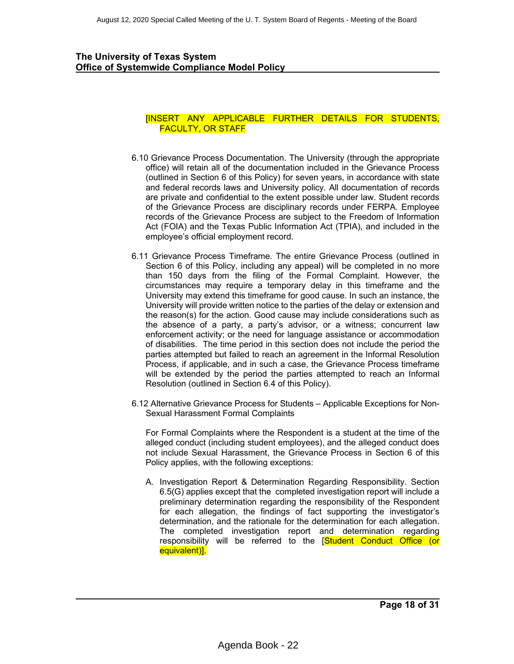#### [INSERT ANY APPLICABLE FURTHER DETAILS FOR STUDENTS, FACULTY, OR STAFF

- 6.10 Grievance Process Documentation. The University (through the appropriate office) will retain all of the documentation included in the Grievance Process (outlined in Section 6 of this Policy) for seven years, in accordance with state and federal records laws and University policy. All documentation of records are private and confidential to the extent possible under law. Student records of the Grievance Process are disciplinary records under FERPA. Employee records of the Grievance Process are subject to the Freedom of Information Act (FOIA) and the Texas Public Information Act (TPIA), and included in the employee's official employment record.
- 6.11 Grievance Process Timeframe. The entire Grievance Process (outlined in Section 6 of this Policy, including any appeal) will be completed in no more than 150 days from the filing of the Formal Complaint. However, the circumstances may require a temporary delay in this timeframe and the University may extend this timeframe for good cause. In such an instance, the University will provide written notice to the parties of the delay or extension and the reason(s) for the action. Good cause may include considerations such as the absence of a party, a party's advisor, or a witness; concurrent law enforcement activity; or the need for language assistance or accommodation of disabilities. The time period in this section does not include the period the parties attempted but failed to reach an agreement in the Informal Resolution Process, if applicable, and in such a case, the Grievance Process timeframe will be extended by the period the parties attempted to reach an Informal Resolution (outlined in Section 6.4 of this Policy).
- 6.12 Alternative Grievance Process for Students Applicable Exceptions for Non-Sexual Harassment Formal Complaints

For Formal Complaints where the Respondent is a student at the time of the alleged conduct (including student employees), and the alleged conduct does not include Sexual Harassment, the Grievance Process in Section 6 of this Policy applies, with the following exceptions:

A. Investigation Report & Determination Regarding Responsibility. Section 6.5(G) applies except that the completed investigation report will include a preliminary determination regarding the responsibility of the Respondent for each allegation, the findings of fact supporting the investigator's determination, and the rationale for the determination for each allegation. The completed investigation report and determination regarding responsibility will be referred to the [Student Conduct Office (or equivalent)].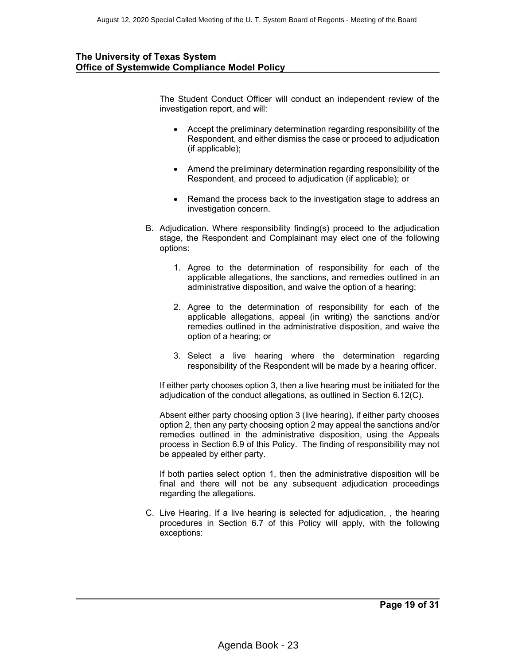The Student Conduct Officer will conduct an independent review of the investigation report, and will:

- Accept the preliminary determination regarding responsibility of the Respondent, and either dismiss the case or proceed to adjudication (if applicable);
- Amend the preliminary determination regarding responsibility of the Respondent, and proceed to adjudication (if applicable); or
- Remand the process back to the investigation stage to address an investigation concern.
- B. Adjudication. Where responsibility finding(s) proceed to the adjudication stage, the Respondent and Complainant may elect one of the following options:
	- 1. Agree to the determination of responsibility for each of the applicable allegations, the sanctions, and remedies outlined in an administrative disposition, and waive the option of a hearing;
	- 2. Agree to the determination of responsibility for each of the applicable allegations, appeal (in writing) the sanctions and/or remedies outlined in the administrative disposition, and waive the option of a hearing; or
	- 3. Select a live hearing where the determination regarding responsibility of the Respondent will be made by a hearing officer.

If either party chooses option 3, then a live hearing must be initiated for the adjudication of the conduct allegations, as outlined in Section 6.12(C).

Absent either party choosing option 3 (live hearing), if either party chooses option 2, then any party choosing option 2 may appeal the sanctions and/or remedies outlined in the administrative disposition, using the Appeals process in Section 6.9 of this Policy. The finding of responsibility may not be appealed by either party.

If both parties select option 1, then the administrative disposition will be final and there will not be any subsequent adjudication proceedings regarding the allegations.

C. Live Hearing. If a live hearing is selected for adjudication, , the hearing procedures in Section 6.7 of this Policy will apply, with the following exceptions: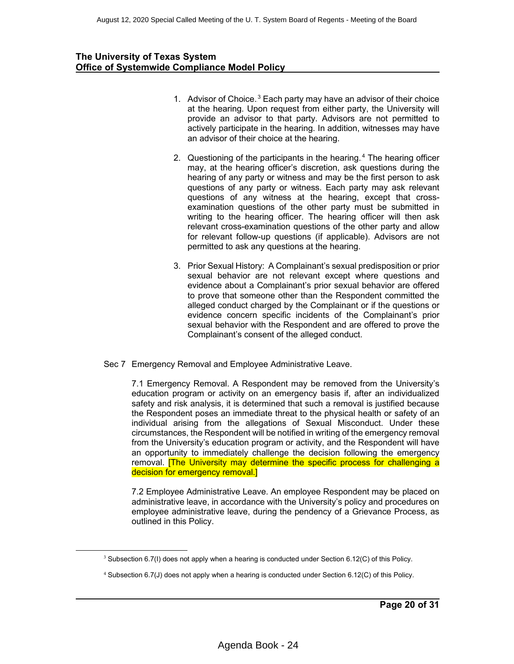- 1. Advisor of Choice.<sup>3</sup> Each party may have an advisor of their choice at the hearing. Upon request from either party, the University will provide an advisor to that party. Advisors are not permitted to actively participate in the hearing. In addition, witnesses may have an advisor of their choice at the hearing.
- 2. Questioning of the participants in the hearing. $4$  The hearing officer may, at the hearing officer's discretion, ask questions during the hearing of any party or witness and may be the first person to ask questions of any party or witness. Each party may ask relevant questions of any witness at the hearing, except that crossexamination questions of the other party must be submitted in writing to the hearing officer. The hearing officer will then ask relevant cross-examination questions of the other party and allow for relevant follow-up questions (if applicable). Advisors are not permitted to ask any questions at the hearing.
- 3. Prior Sexual History: A Complainant's sexual predisposition or prior sexual behavior are not relevant except where questions and evidence about a Complainant's prior sexual behavior are offered to prove that someone other than the Respondent committed the alleged conduct charged by the Complainant or if the questions or evidence concern specific incidents of the Complainant's prior sexual behavior with the Respondent and are offered to prove the Complainant's consent of the alleged conduct.
- Sec 7 Emergency Removal and Employee Administrative Leave.

7.1 Emergency Removal. A Respondent may be removed from the University's education program or activity on an emergency basis if, after an individualized safety and risk analysis, it is determined that such a removal is justified because the Respondent poses an immediate threat to the physical health or safety of an individual arising from the allegations of Sexual Misconduct. Under these circumstances, the Respondent will be notified in writing of the emergency removal from the University's education program or activity, and the Respondent will have an opportunity to immediately challenge the decision following the emergency removal. **The University may determine the specific process for challenging a** decision for emergency removal.]

7.2 Employee Administrative Leave. An employee Respondent may be placed on administrative leave, in accordance with the University's policy and procedures on employee administrative leave, during the pendency of a Grievance Process, as outlined in this Policy.

 $3$  Subsection 6.7(I) does not apply when a hearing is conducted under Section 6.12(C) of this Policy.

<sup>4</sup> Subsection 6.7(J) does not apply when a hearing is conducted under Section 6.12(C) of this Policy.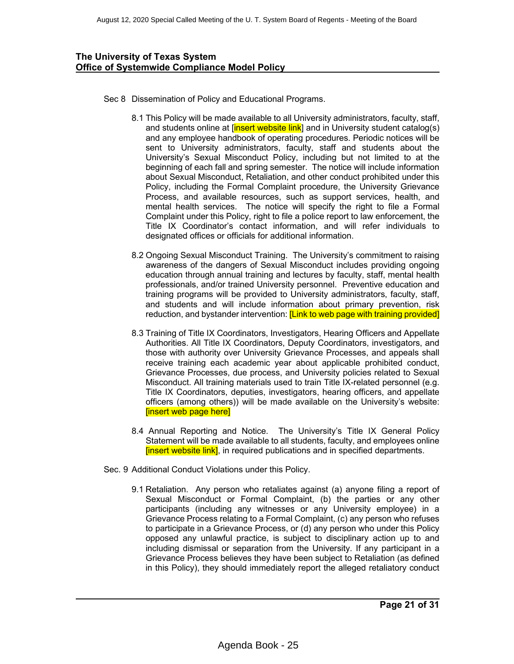- Sec 8 Dissemination of Policy and Educational Programs.
	- 8.1 This Policy will be made available to all University administrators, faculty, staff, and students online at [insert website link] and in University student catalog(s) and any employee handbook of operating procedures. Periodic notices will be sent to University administrators, faculty, staff and students about the University's Sexual Misconduct Policy, including but not limited to at the beginning of each fall and spring semester. The notice will include information about Sexual Misconduct, Retaliation, and other conduct prohibited under this Policy, including the Formal Complaint procedure, the University Grievance Process, and available resources, such as support services, health, and mental health services. The notice will specify the right to file a Formal Complaint under this Policy, right to file a police report to law enforcement, the Title IX Coordinator's contact information, and will refer individuals to designated offices or officials for additional information.
	- 8.2 Ongoing Sexual Misconduct Training. The University's commitment to raising awareness of the dangers of Sexual Misconduct includes providing ongoing education through annual training and lectures by faculty, staff, mental health professionals, and/or trained University personnel. Preventive education and training programs will be provided to University administrators, faculty, staff, and students and will include information about primary prevention, risk reduction, and bystander intervention: [Link to web page with training provided]
	- 8.3 Training of Title IX Coordinators, Investigators, Hearing Officers and Appellate Authorities. All Title IX Coordinators, Deputy Coordinators, investigators, and those with authority over University Grievance Processes, and appeals shall receive training each academic year about applicable prohibited conduct, Grievance Processes, due process, and University policies related to Sexual Misconduct. All training materials used to train Title IX-related personnel (e.g. Title IX Coordinators, deputies, investigators, hearing officers, and appellate officers (among others)) will be made available on the University's website: [insert web page here]
	- 8.4 Annual Reporting and Notice. The University's Title IX General Policy Statement will be made available to all students, faculty, and employees online **[insert website link]**, in required publications and in specified departments.
- Sec. 9 Additional Conduct Violations under this Policy.
	- 9.1 Retaliation. Any person who retaliates against (a) anyone filing a report of Sexual Misconduct or Formal Complaint, (b) the parties or any other participants (including any witnesses or any University employee) in a Grievance Process relating to a Formal Complaint, (c) any person who refuses to participate in a Grievance Process, or (d) any person who under this Policy opposed any unlawful practice, is subject to disciplinary action up to and including dismissal or separation from the University. If any participant in a Grievance Process believes they have been subject to Retaliation (as defined in this Policy), they should immediately report the alleged retaliatory conduct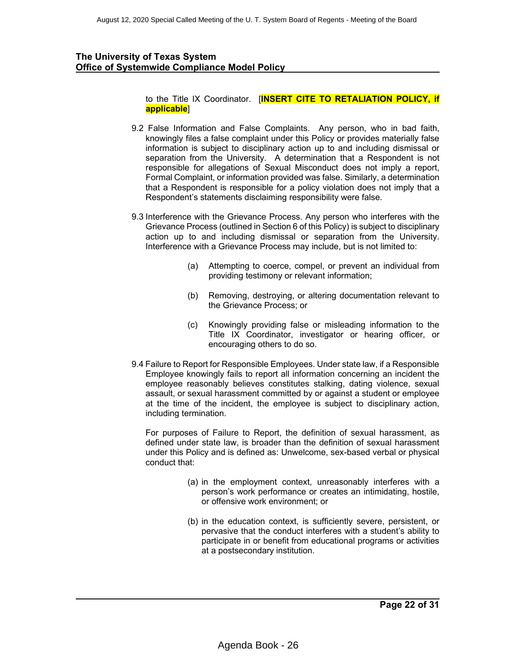to the Title IX Coordinator. [**INSERT CITE TO RETALIATION POLICY, if applicable**]

- 9.2 False Information and False Complaints. Any person, who in bad faith, knowingly files a false complaint under this Policy or provides materially false information is subject to disciplinary action up to and including dismissal or separation from the University. A determination that a Respondent is not responsible for allegations of Sexual Misconduct does not imply a report, Formal Complaint, or information provided was false. Similarly, a determination that a Respondent is responsible for a policy violation does not imply that a Respondent's statements disclaiming responsibility were false.
- 9.3 Interference with the Grievance Process. Any person who interferes with the Grievance Process (outlined in Section 6 of this Policy) is subject to disciplinary action up to and including dismissal or separation from the University. Interference with a Grievance Process may include, but is not limited to:
	- (a) Attempting to coerce, compel, or prevent an individual from providing testimony or relevant information;
	- (b) Removing, destroying, or altering documentation relevant to the Grievance Process; or
	- (c) Knowingly providing false or misleading information to the Title IX Coordinator, investigator or hearing officer, or encouraging others to do so.
- 9.4 Failure to Report for Responsible Employees. Under state law, if a Responsible Employee knowingly fails to report all information concerning an incident the employee reasonably believes constitutes stalking, dating violence, sexual assault, or sexual harassment committed by or against a student or employee at the time of the incident, the employee is subject to disciplinary action, including termination.

For purposes of Failure to Report, the definition of sexual harassment, as defined under state law, is broader than the definition of sexual harassment under this Policy and is defined as: Unwelcome, sex-based verbal or physical conduct that:

- (a) in the employment context, unreasonably interferes with a person's work performance or creates an intimidating, hostile, or offensive work environment; or
- (b) in the education context, is sufficiently severe, persistent, or pervasive that the conduct interferes with a student's ability to participate in or benefit from educational programs or activities at a postsecondary institution.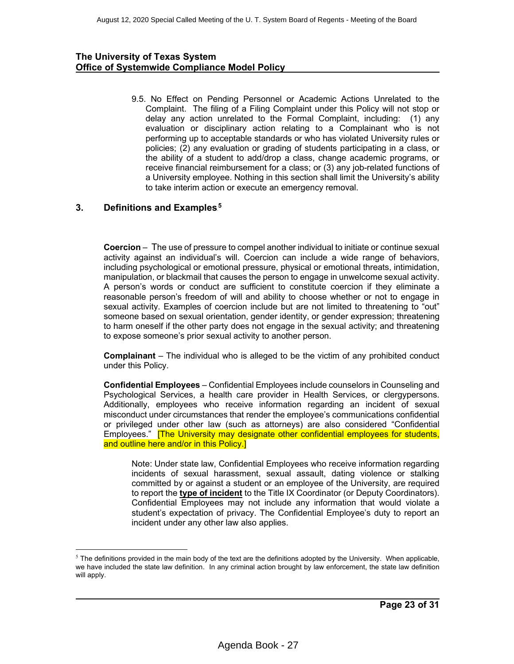9.5. No Effect on Pending Personnel or Academic Actions Unrelated to the Complaint. The filing of a Filing Complaint under this Policy will not stop or delay any action unrelated to the Formal Complaint, including: (1) any evaluation or disciplinary action relating to a Complainant who is not performing up to acceptable standards or who has violated University rules or policies; (2) any evaluation or grading of students participating in a class, or the ability of a student to add/drop a class, change academic programs, or receive financial reimbursement for a class; or (3) any job-related functions of a University employee. Nothing in this section shall limit the University's ability to take interim action or execute an emergency removal.

# **3.** Definitions and Examples.<sup>5</sup>

**Coercion** – The use of pressure to compel another individual to initiate or continue sexual activity against an individual's will. Coercion can include a wide range of behaviors, including psychological or emotional pressure, physical or emotional threats, intimidation, manipulation, or blackmail that causes the person to engage in unwelcome sexual activity. A person's words or conduct are sufficient to constitute coercion if they eliminate a reasonable person's freedom of will and ability to choose whether or not to engage in sexual activity. Examples of coercion include but are not limited to threatening to "out" someone based on sexual orientation, gender identity, or gender expression; threatening to harm oneself if the other party does not engage in the sexual activity; and threatening to expose someone's prior sexual activity to another person.

**Complainant** – The individual who is alleged to be the victim of any prohibited conduct under this Policy.

**Confidential Employees** – Confidential Employees include counselors in Counseling and Psychological Services, a health care provider in Health Services, or clergypersons. Additionally, employees who receive information regarding an incident of sexual misconduct under circumstances that render the employee's communications confidential or privileged under other law (such as attorneys) are also considered "Confidential Employees." **[The University may designate other confidential employees for students,** and outline here and/or in this Policy.]

Note: Under state law, Confidential Employees who receive information regarding incidents of sexual harassment, sexual assault, dating violence or stalking committed by or against a student or an employee of the University, are required to report the **type of incident** to the Title IX Coordinator (or Deputy Coordinators). Confidential Employees may not include any information that would violate a student's expectation of privacy. The Confidential Employee's duty to report an incident under any other law also applies.

 $<sup>5</sup>$  The definitions provided in the main body of the text are the definitions adopted by the University. When applicable,</sup> we have included the state law definition. In any criminal action brought by law enforcement, the state law definition will apply.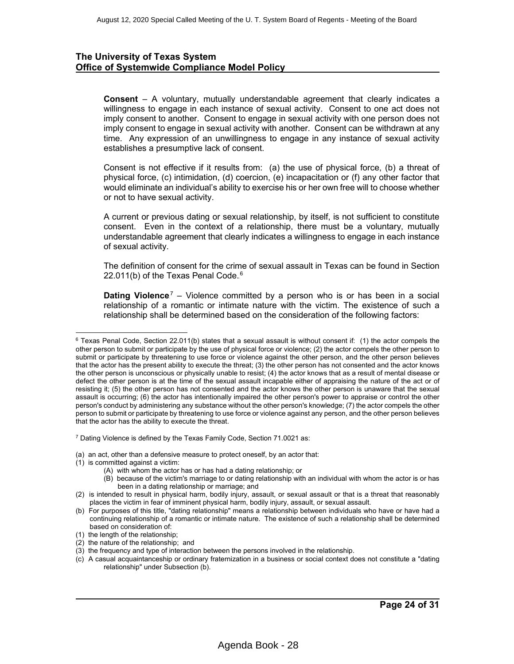**Consent** – A voluntary, mutually understandable agreement that clearly indicates a willingness to engage in each instance of sexual activity. Consent to one act does not imply consent to another. Consent to engage in sexual activity with one person does not imply consent to engage in sexual activity with another. Consent can be withdrawn at any time. Any expression of an unwillingness to engage in any instance of sexual activity establishes a presumptive lack of consent.

Consent is not effective if it results from: (a) the use of physical force, (b) a threat of physical force, (c) intimidation, (d) coercion, (e) incapacitation or (f) any other factor that would eliminate an individual's ability to exercise his or her own free will to choose whether or not to have sexual activity.

A current or previous dating or sexual relationship, by itself, is not sufficient to constitute consent. Even in the context of a relationship, there must be a voluntary, mutually understandable agreement that clearly indicates a willingness to engage in each instance of sexual activity.

The definition of consent for the crime of sexual assault in Texas can be found in Section 22.011(b) of the Texas Penal Code. $6$ 

**Dating Violence**<sup>7</sup> – Violence committed by a person who is or has been in a social relationship of a romantic or intimate nature with the victim. The existence of such a relationship shall be determined based on the consideration of the following factors:

<sup>7</sup> Dating Violence is defined by the Texas Family Code, Section 71.0021 as:

(a) an act, other than a defensive measure to protect oneself, by an actor that:

- (1) is committed against a victim:
	- (A) with whom the actor has or has had a dating relationship; or
	- (B) because of the victim's marriage to or dating relationship with an individual with whom the actor is or has been in a dating relationship or marriage; and

 $6$  Texas Penal Code, Section 22.011(b) states that a sexual assault is without consent if: (1) the actor compels the other person to submit or participate by the use of physical force or violence; (2) the actor compels the other person to submit or participate by threatening to use force or violence against the other person, and the other person believes that the actor has the present ability to execute the threat; (3) the other person has not consented and the actor knows the other person is unconscious or physically unable to resist; (4) the actor knows that as a result of mental disease or defect the other person is at the time of the sexual assault incapable either of appraising the nature of the act or of resisting it; (5) the other person has not consented and the actor knows the other person is unaware that the sexual assault is occurring; (6) the actor has intentionally impaired the other person's power to appraise or control the other person's conduct by administering any substance without the other person's knowledge; (7) the actor compels the other person to submit or participate by threatening to use force or violence against any person, and the other person believes that the actor has the ability to execute the threat.

<sup>(2)</sup> is intended to result in physical harm, bodily injury, assault, or sexual assault or that is a threat that reasonably places the victim in fear of imminent physical harm, bodily injury, assault, or sexual assault.

<sup>(</sup>b) For purposes of this title, "dating relationship" means a relationship between individuals who have or have had a continuing relationship of a romantic or intimate nature. The existence of such a relationship shall be determined based on consideration of:

<sup>(1)</sup> the length of the relationship;

<sup>(2)</sup> the nature of the relationship; and

<sup>(3)</sup> the frequency and type of interaction between the persons involved in the relationship.

<sup>(</sup>c) A casual acquaintanceship or ordinary fraternization in a business or social context does not constitute a "dating relationship" under Subsection (b).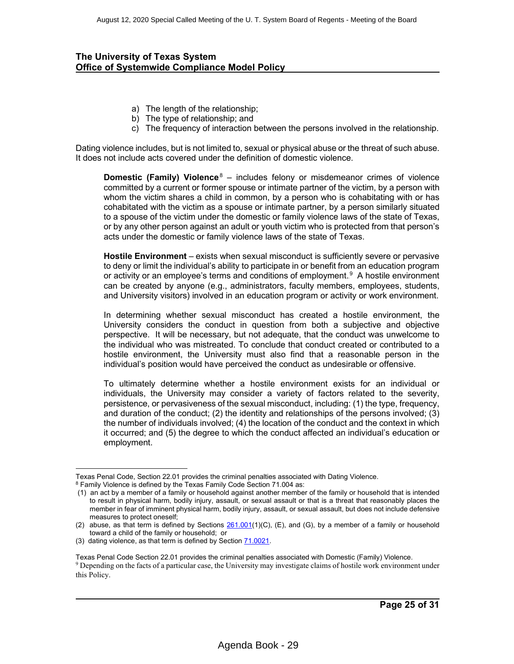- a) The length of the relationship;
- b) The type of relationship; and
- c) The frequency of interaction between the persons involved in the relationship.

Dating violence includes, but is not limited to, sexual or physical abuse or the threat of such abuse. It does not include acts covered under the definition of domestic violence.

**Domestic (Family) Violence**<sup>8</sup> – includes felony or misdemeanor crimes of violence committed by a current or former spouse or intimate partner of the victim, by a person with whom the victim shares a child in common, by a person who is cohabitating with or has cohabitated with the victim as a spouse or intimate partner, by a person similarly situated to a spouse of the victim under the domestic or family violence laws of the state of Texas, or by any other person against an adult or youth victim who is protected from that person's acts under the domestic or family violence laws of the state of Texas.

**Hostile Environment** – exists when sexual misconduct is sufficiently severe or pervasive to deny or limit the individual's ability to participate in or benefit from an education program or activity or an employee's terms and conditions of employment.<sup>9</sup> A hostile environment can be created by anyone (e.g., administrators, faculty members, employees, students, and University visitors) involved in an education program or activity or work environment.

In determining whether sexual misconduct has created a hostile environment, the University considers the conduct in question from both a subjective and objective perspective. It will be necessary, but not adequate, that the conduct was unwelcome to the individual who was mistreated. To conclude that conduct created or contributed to a hostile environment, the University must also find that a reasonable person in the individual's position would have perceived the conduct as undesirable or offensive.

To ultimately determine whether a hostile environment exists for an individual or individuals, the University may consider a variety of factors related to the severity, persistence, or pervasiveness of the sexual misconduct, including: (1) the type, frequency, and duration of the conduct; (2) the identity and relationships of the persons involved; (3) the number of individuals involved; (4) the location of the conduct and the context in which it occurred; and (5) the degree to which the conduct affected an individual's education or employment.

Texas Penal Code, Section 22.01 provides the criminal penalties associated with Dating Violence.

<sup>8</sup> Family Violence is defined by the Texas Family Code Section 71.004 as:

<sup>(1)</sup> an act by a member of a family or household against another member of the family or household that is intended to result in physical harm, bodily injury, assault, or sexual assault or that is a threat that reasonably places the member in fear of imminent physical harm, bodily injury, assault, or sexual assault, but does not include defensive measures to protect oneself;

<sup>(2)</sup> abuse, as that term is defined by Sections  $261.001(1)(C)$  $261.001(1)(C)$ , (E), and (G), by a member of a family or household toward a child of the family or household; or

<sup>(3)</sup> dating violence, as that term is defined by Section [71.0021](http://www.statutes.legis.state.tx.us/GetStatute.aspx?Code=FA&Value=71.0021&Date=6/28/2014).

Texas Penal Code Section 22.01 provides the criminal penalties associated with Domestic (Family) Violence. <sup>9</sup> Depending on the facts of a particular case, the University may investigate claims of hostile work environment under this Policy.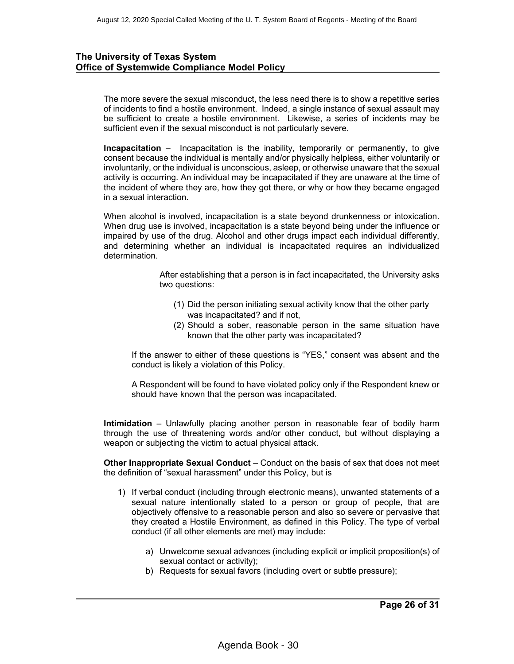The more severe the sexual misconduct, the less need there is to show a repetitive series of incidents to find a hostile environment. Indeed, a single instance of sexual assault may be sufficient to create a hostile environment. Likewise, a series of incidents may be sufficient even if the sexual misconduct is not particularly severe.

**Incapacitation** – Incapacitation is the inability, temporarily or permanently, to give consent because the individual is mentally and/or physically helpless, either voluntarily or involuntarily, or the individual is unconscious, asleep, or otherwise unaware that the sexual activity is occurring. An individual may be incapacitated if they are unaware at the time of the incident of where they are, how they got there, or why or how they became engaged in a sexual interaction.

When alcohol is involved, incapacitation is a state beyond drunkenness or intoxication. When drug use is involved, incapacitation is a state beyond being under the influence or impaired by use of the drug. Alcohol and other drugs impact each individual differently, and determining whether an individual is incapacitated requires an individualized determination.

> After establishing that a person is in fact incapacitated, the University asks two questions:

- (1) Did the person initiating sexual activity know that the other party was incapacitated? and if not,
- (2) Should a sober, reasonable person in the same situation have known that the other party was incapacitated?

If the answer to either of these questions is "YES," consent was absent and the conduct is likely a violation of this Policy.

A Respondent will be found to have violated policy only if the Respondent knew or should have known that the person was incapacitated.

**Intimidation** – Unlawfully placing another person in reasonable fear of bodily harm through the use of threatening words and/or other conduct, but without displaying a weapon or subjecting the victim to actual physical attack.

**Other Inappropriate Sexual Conduct** – Conduct on the basis of sex that does not meet the definition of "sexual harassment" under this Policy, but is

- 1) If verbal conduct (including through electronic means), unwanted statements of a sexual nature intentionally stated to a person or group of people, that are objectively offensive to a reasonable person and also so severe or pervasive that they created a Hostile Environment, as defined in this Policy. The type of verbal conduct (if all other elements are met) may include:
	- a) Unwelcome sexual advances (including explicit or implicit proposition(s) of sexual contact or activity);
	- b) Requests for sexual favors (including overt or subtle pressure);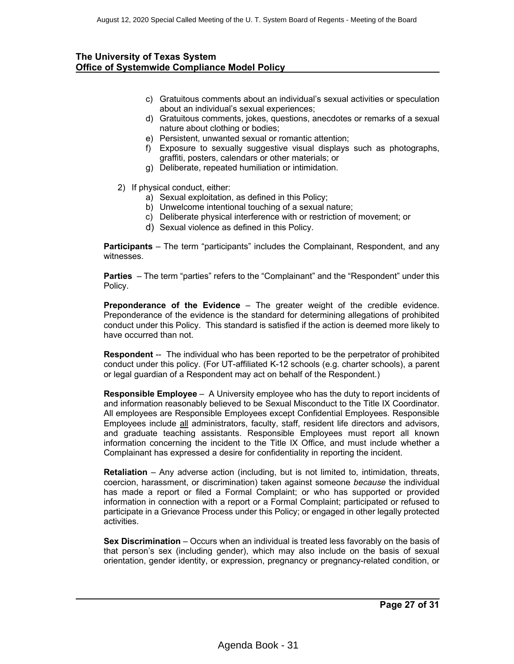- c) Gratuitous comments about an individual's sexual activities or speculation about an individual's sexual experiences;
- d) Gratuitous comments, jokes, questions, anecdotes or remarks of a sexual nature about clothing or bodies;
- e) Persistent, unwanted sexual or romantic attention;
- f) Exposure to sexually suggestive visual displays such as photographs, graffiti, posters, calendars or other materials; or
- g) Deliberate, repeated humiliation or intimidation.
- 2) If physical conduct, either:
	- a) Sexual exploitation, as defined in this Policy;
	- b) Unwelcome intentional touching of a sexual nature;
	- c) Deliberate physical interference with or restriction of movement; or
	- d) Sexual violence as defined in this Policy.

**Participants** – The term "participants" includes the Complainant, Respondent, and any witnesses.

**Parties** – The term "parties" refers to the "Complainant" and the "Respondent" under this Policy.

**Preponderance of the Evidence** – The greater weight of the credible evidence. Preponderance of the evidence is the standard for determining allegations of prohibited conduct under this Policy. This standard is satisfied if the action is deemed more likely to have occurred than not.

**Respondent** -- The individual who has been reported to be the perpetrator of prohibited conduct under this policy. (For UT-affiliated K-12 schools (e.g. charter schools), a parent or legal guardian of a Respondent may act on behalf of the Respondent.)

**Responsible Employee** – A University employee who has the duty to report incidents of and information reasonably believed to be Sexual Misconduct to the Title IX Coordinator. All employees are Responsible Employees except Confidential Employees. Responsible Employees include all administrators, faculty, staff, resident life directors and advisors, and graduate teaching assistants. Responsible Employees must report all known information concerning the incident to the Title IX Office, and must include whether a Complainant has expressed a desire for confidentiality in reporting the incident.

**Retaliation** – Any adverse action (including, but is not limited to, intimidation, threats, coercion, harassment, or discrimination) taken against someone *because* the individual has made a report or filed a Formal Complaint; or who has supported or provided information in connection with a report or a Formal Complaint; participated or refused to participate in a Grievance Process under this Policy; or engaged in other legally protected activities.

**Sex Discrimination** – Occurs when an individual is treated less favorably on the basis of that person's sex (including gender), which may also include on the basis of sexual orientation, gender identity, or expression, pregnancy or pregnancy-related condition, or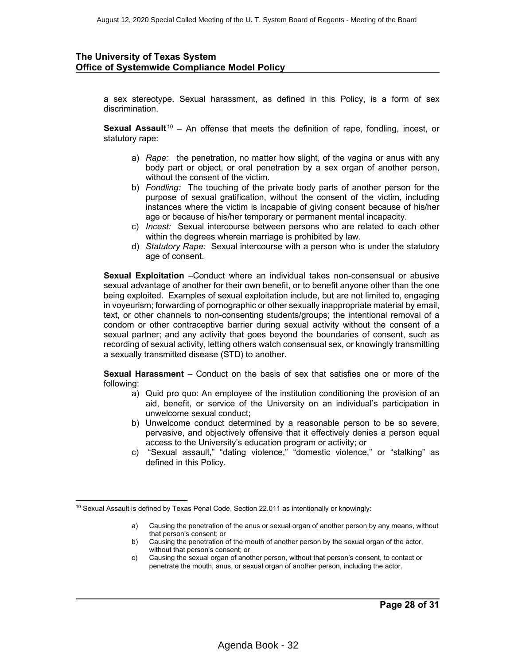a sex stereotype. Sexual harassment, as defined in this Policy, is a form of sex discrimination.

**Sexual Assault**<sup>10</sup> – An offense that meets the definition of rape, fondling, incest, or statutory rape:

- a) *Rape:* the penetration, no matter how slight, of the vagina or anus with any body part or object, or oral penetration by a sex organ of another person, without the consent of the victim.
- b) *Fondling:* The touching of the private body parts of another person for the purpose of sexual gratification, without the consent of the victim, including instances where the victim is incapable of giving consent because of his/her age or because of his/her temporary or permanent mental incapacity.
- c) *Incest:* Sexual intercourse between persons who are related to each other within the degrees wherein marriage is prohibited by law.
- d) *Statutory Rape:* Sexual intercourse with a person who is under the statutory age of consent.

**Sexual Exploitation** –Conduct where an individual takes non-consensual or abusive sexual advantage of another for their own benefit, or to benefit anyone other than the one being exploited. Examples of sexual exploitation include, but are not limited to, engaging in voyeurism; forwarding of pornographic or other sexually inappropriate material by email, text, or other channels to non-consenting students/groups; the intentional removal of a condom or other contraceptive barrier during sexual activity without the consent of a sexual partner; and any activity that goes beyond the boundaries of consent, such as recording of sexual activity, letting others watch consensual sex, or knowingly transmitting a sexually transmitted disease (STD) to another.

**Sexual Harassment** – Conduct on the basis of sex that satisfies one or more of the following:

- a) Quid pro quo: An employee of the institution conditioning the provision of an aid, benefit, or service of the University on an individual's participation in unwelcome sexual conduct;
- b) Unwelcome conduct determined by a reasonable person to be so severe, pervasive, and objectively offensive that it effectively denies a person equal access to the University's education program or activity; or
- c) "Sexual assault," "dating violence," "domestic violence," or "stalking" as defined in this Policy.

- b) Causing the penetration of the mouth of another person by the sexual organ of the actor, without that person's consent; or
- c) Causing the sexual organ of another person, without that person's consent, to contact or penetrate the mouth, anus, or sexual organ of another person, including the actor.

<sup>&</sup>lt;sup>10</sup> Sexual Assault is defined by Texas Penal Code, Section 22.011 as intentionally or knowingly:

a) Causing the penetration of the anus or sexual organ of another person by any means, without that person's consent; or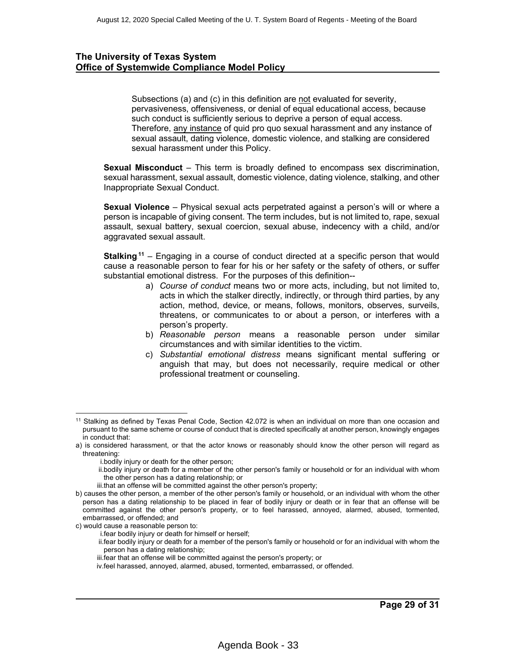Subsections (a) and (c) in this definition are not evaluated for severity, pervasiveness, offensiveness, or denial of equal educational access, because such conduct is sufficiently serious to deprive a person of equal access. Therefore, any instance of quid pro quo sexual harassment and any instance of sexual assault, dating violence, domestic violence, and stalking are considered sexual harassment under this Policy.

**Sexual Misconduct** – This term is broadly defined to encompass sex discrimination, sexual harassment, sexual assault, domestic violence, dating violence, stalking, and other Inappropriate Sexual Conduct.

**Sexual Violence** – Physical sexual acts perpetrated against a person's will or where a person is incapable of giving consent. The term includes, but is not limited to, rape, sexual assault, sexual battery, sexual coercion, sexual abuse, indecency with a child, and/or aggravated sexual assault.

**Stalking**<sup>11</sup> – Engaging in a course of conduct directed at a specific person that would cause a reasonable person to fear for his or her safety or the safety of others, or suffer substantial emotional distress. For the purposes of this definition--

- a) *Course of conduct* means two or more acts, including, but not limited to, acts in which the stalker directly, indirectly, or through third parties, by any action, method, device, or means, follows, monitors, observes, surveils, threatens, or communicates to or about a person, or interferes with a person's property.
- b) *Reasonable person* means a reasonable person under similar circumstances and with similar identities to the victim.
- c) *Substantial emotional distress* means significant mental suffering or anguish that may, but does not necessarily, require medical or other professional treatment or counseling.

- i.bodily injury or death for the other person;
- ii.bodily injury or death for a member of the other person's family or household or for an individual with whom the other person has a dating relationship; or
- iii.that an offense will be committed against the other person's property;

i.fear bodily injury or death for himself or herself;

iii.fear that an offense will be committed against the person's property; or

<sup>11</sup> Stalking as defined by Texas Penal Code, Section 42.072 is when an individual on more than one occasion and pursuant to the same scheme or course of conduct that is directed specifically at another person, knowingly engages in conduct that:

a) is considered harassment, or that the actor knows or reasonably should know the other person will regard as threatening:

b) causes the other person, a member of the other person's family or household, or an individual with whom the other person has a dating relationship to be placed in fear of bodily injury or death or in fear that an offense will be committed against the other person's property, or to feel harassed, annoyed, alarmed, abused, tormented, embarrassed, or offended; and

c) would cause a reasonable person to:

ii.fear bodily injury or death for a member of the person's family or household or for an individual with whom the person has a dating relationship;

iv.feel harassed, annoyed, alarmed, abused, tormented, embarrassed, or offended.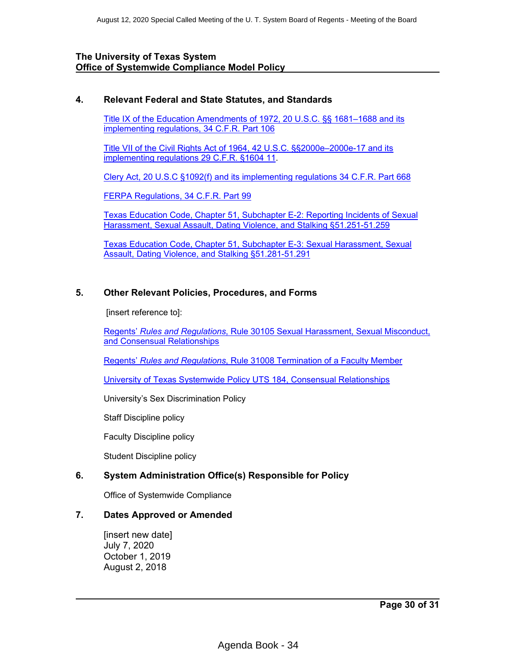#### **4. Relevant Federal and State Statutes, and Standards**

[Title IX of the Education Amendments of 1972, 20 U.S.C. §§ 1681–1688](http://www.gpo.gov/fdsys/pkg/USCODE-2013-title20/pdf/USCODE-2013-title20-chap38.pdf) and its implementing regulations, 34 C.F.R. Part 106

[Title VII of the Civil Rights Act of 1964, 42 U.S.C. §§2000e–2000e-17](http://www.gpo.gov/fdsys/pkg/USCODE-2013-title42/pdf/USCODE-2013-title42-chap21-subchapVI.pdf) and its implementing regulations 29 C.F.R. §1604 11.

[Clery Act, 20 U.S.C §1092\(f\)](http://www.gpo.gov/fdsys/pkg/USCODE-2013-title20/pdf/USCODE-2013-title20-chap28-subchapIV-partF-sec1092.pdf) and its implementing regulations [34 C.F.R. Part 668](http://www.gpo.gov/fdsys/pkg/CFR-2013-title34-vol3/pdf/CFR-2013-title34-vol3-part668.pdf)

[FERPA Regulations, 34 C.F.R. Part 99](http://www.gpo.gov/fdsys/pkg/CFR-2013-title34-vol1/pdf/CFR-2013-title34-vol1-part99.pdf)

[Texas Education Code, Chapter 51, Subchapter E-2: Reporting Incidents of Sexual](https://statutes.capitol.texas.gov/Docs/ED/htm/ED.51.htm#E-2)  [Harassment, Sexual Assault, Dating Violence, and Stalking §51.251-51.259](https://statutes.capitol.texas.gov/Docs/ED/htm/ED.51.htm#E-2)

[Texas Education Code, Chapter 51, Subchapter E-3: Sexual Harassment, Sexual](https://statutes.capitol.texas.gov/Docs/ED/htm/ED.51.htm#E-3)  [Assault, Dating Violence, and Stalking](https://statutes.capitol.texas.gov/Docs/ED/htm/ED.51.htm#E-3) §51.281-51.291

#### **5. Other Relevant Policies, Procedures, and Forms**

[insert reference to]:

Regents' *Rules and Regulations*, Rule 30105 [Sexual Harassment, Sexual Misconduct,](http://www.utsystem.edu/board-of-regents/rules/30105-sexual-harassment-and-misconduct-and-inappropriate-consensual-relations)  and [Consensual Relationships](http://www.utsystem.edu/board-of-regents/rules/30105-sexual-harassment-and-misconduct-and-inappropriate-consensual-relations)

Regents' *Rules and Regulations*, Rule 31008 [Termination of a Faculty Member](http://www.utsystem.edu/board-of-regents/rules/31008-termination-faculty-member)

[University of Texas Systemwide Policy UTS 184, Consensual Relationships](http://www.utsystem.edu/board-of-regents/policy-library/policies/uts184-consensual-relationships)

University's Sex Discrimination Policy

Staff Discipline policy

Faculty Discipline policy

Student Discipline policy

# **6. System Administration Office(s) Responsible for Policy**

Office of Systemwide Compliance

#### **7. Dates Approved or Amended**

[insert new date] July 7, 2020 October 1, 2019 August 2, 2018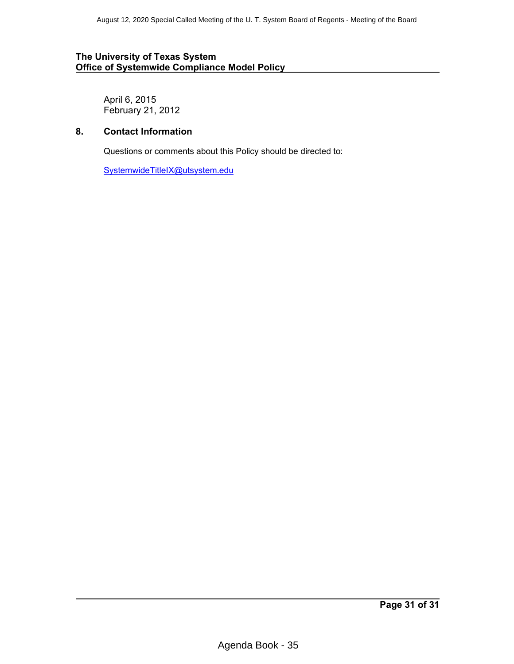April 6, 2015 February 21, 2012

# **8. Contact Information**

Questions or comments about this Policy should be directed to:

[SystemwideTitleIX@utsystem.edu](mailto:SystemwideTitleIX@utsystem.edu)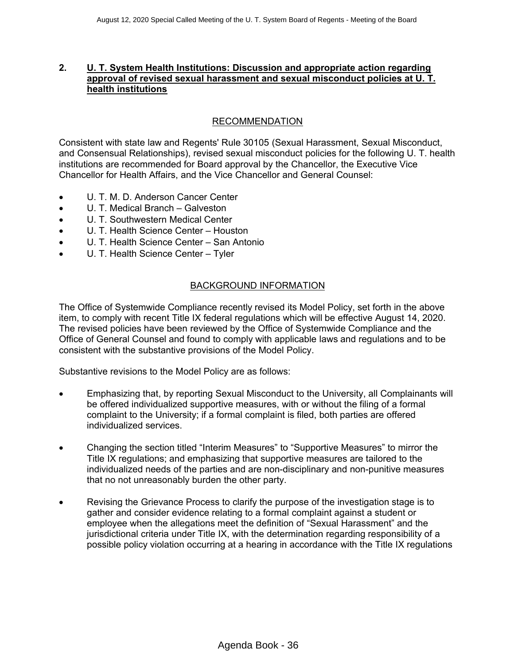# <span id="page-35-0"></span>**2. U. T. System Health Institutions: Discussion and appropriate action regarding approval of revised sexual harassment and sexual misconduct policies at U. T. health institutions**

# RECOMMENDATION

Consistent with state law and Regents' Rule 30105 (Sexual Harassment, Sexual Misconduct, and Consensual Relationships), revised sexual misconduct policies for the following U. T. health institutions are recommended for Board approval by the Chancellor, the Executive Vice Chancellor for Health Affairs, and the Vice Chancellor and General Counsel:

- ∑ U. T. M. D. Anderson Cancer Center
- ∑ U. T. Medical Branch Galveston
- ∑ U. T. Southwestern Medical Center
- ∑ U. T. Health Science Center Houston
- ∑ U. T. Health Science Center San Antonio
- ∑ U. T. Health Science Center Tyler

#### BACKGROUND INFORMATION

The Office of Systemwide Compliance recently revised its Model Policy, set forth in the above item, to comply with recent Title IX federal regulations which will be effective August 14, 2020. The revised policies have been reviewed by the Office of Systemwide Compliance and the Office of General Counsel and found to comply with applicable laws and regulations and to be consistent with the substantive provisions of the Model Policy.

Substantive revisions to the Model Policy are as follows:

- ∑ Emphasizing that, by reporting Sexual Misconduct to the University, all Complainants will be offered individualized supportive measures, with or without the filing of a formal complaint to the University; if a formal complaint is filed, both parties are offered individualized services.
- ∑ Changing the section titled "Interim Measures" to "Supportive Measures" to mirror the Title IX regulations; and emphasizing that supportive measures are tailored to the individualized needs of the parties and are non-disciplinary and non-punitive measures that no not unreasonably burden the other party.
- ∑ Revising the Grievance Process to clarify the purpose of the investigation stage is to gather and consider evidence relating to a formal complaint against a student or employee when the allegations meet the definition of "Sexual Harassment" and the jurisdictional criteria under Title IX, with the determination regarding responsibility of a possible policy violation occurring at a hearing in accordance with the Title IX regulations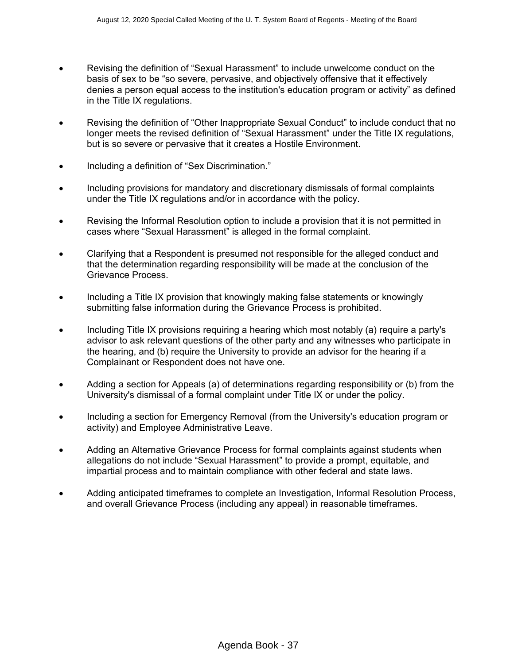- Revising the definition of "Sexual Harassment" to include unwelcome conduct on the basis of sex to be "so severe, pervasive, and objectively offensive that it effectively denies a person equal access to the institution's education program or activity" as defined in the Title IX regulations.
- Revising the definition of "Other Inappropriate Sexual Conduct" to include conduct that no longer meets the revised definition of "Sexual Harassment" under the Title IX regulations, but is so severe or pervasive that it creates a Hostile Environment.
- Including a definition of "Sex Discrimination."
- Including provisions for mandatory and discretionary dismissals of formal complaints under the Title IX regulations and/or in accordance with the policy.
- Revising the Informal Resolution option to include a provision that it is not permitted in cases where "Sexual Harassment" is alleged in the formal complaint.
- ∑ Clarifying that a Respondent is presumed not responsible for the alleged conduct and that the determination regarding responsibility will be made at the conclusion of the Grievance Process.
- Including a Title IX provision that knowingly making false statements or knowingly submitting false information during the Grievance Process is prohibited.
- Including Title IX provisions requiring a hearing which most notably (a) require a party's advisor to ask relevant questions of the other party and any witnesses who participate in the hearing, and (b) require the University to provide an advisor for the hearing if a Complainant or Respondent does not have one.
- Adding a section for Appeals (a) of determinations regarding responsibility or (b) from the University's dismissal of a formal complaint under Title IX or under the policy.
- Including a section for Emergency Removal (from the University's education program or activity) and Employee Administrative Leave.
- ∑ Adding an Alternative Grievance Process for formal complaints against students when allegations do not include "Sexual Harassment" to provide a prompt, equitable, and impartial process and to maintain compliance with other federal and state laws.
- ∑ Adding anticipated timeframes to complete an Investigation, Informal Resolution Process, and overall Grievance Process (including any appeal) in reasonable timeframes.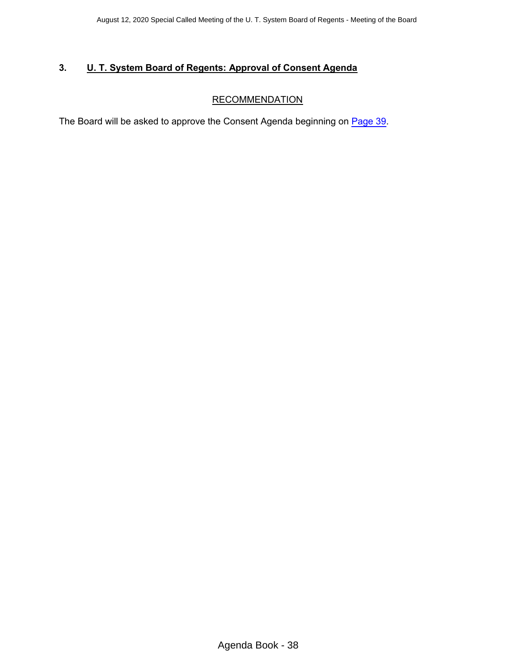# <span id="page-37-0"></span>**3. U. T. System Board of Regents: Approval of Consent Agenda**

# **RECOMMENDATION**

The Board will be asked to approve the Consent Agenda beginning on [Page 39](#page-38-0).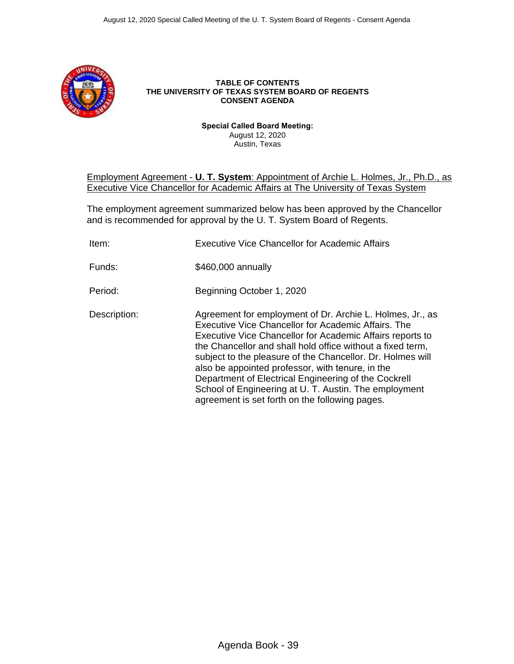<span id="page-38-0"></span>

#### **TABLE OF CONTENTS THE UNIVERSITY OF TEXAS SYSTEM BOARD OF REGENTS CONSENT AGENDA**

**Special Called Board Meeting:** August 12, 2020 Austin, Texas

# Employment Agreement - **U. T. System**: Appointment of Archie L. Holmes, Jr., Ph.D., as Executive Vice Chancellor for Academic Affairs at The University of Texas System

The employment agreement summarized below has been approved by the Chancellor and is recommended for approval by the U. T. System Board of Regents.

| Item:        | Executive Vice Chancellor for Academic Affairs                                                                                                                                                                                                                                                                                                                                                                                                                                                                                   |
|--------------|----------------------------------------------------------------------------------------------------------------------------------------------------------------------------------------------------------------------------------------------------------------------------------------------------------------------------------------------------------------------------------------------------------------------------------------------------------------------------------------------------------------------------------|
| Funds:       | \$460,000 annually                                                                                                                                                                                                                                                                                                                                                                                                                                                                                                               |
| Period:      | Beginning October 1, 2020                                                                                                                                                                                                                                                                                                                                                                                                                                                                                                        |
| Description: | Agreement for employment of Dr. Archie L. Holmes, Jr., as<br>Executive Vice Chancellor for Academic Affairs. The<br>Executive Vice Chancellor for Academic Affairs reports to<br>the Chancellor and shall hold office without a fixed term,<br>subject to the pleasure of the Chancellor. Dr. Holmes will<br>also be appointed professor, with tenure, in the<br>Department of Electrical Engineering of the Cockrell<br>School of Engineering at U. T. Austin. The employment<br>agreement is set forth on the following pages. |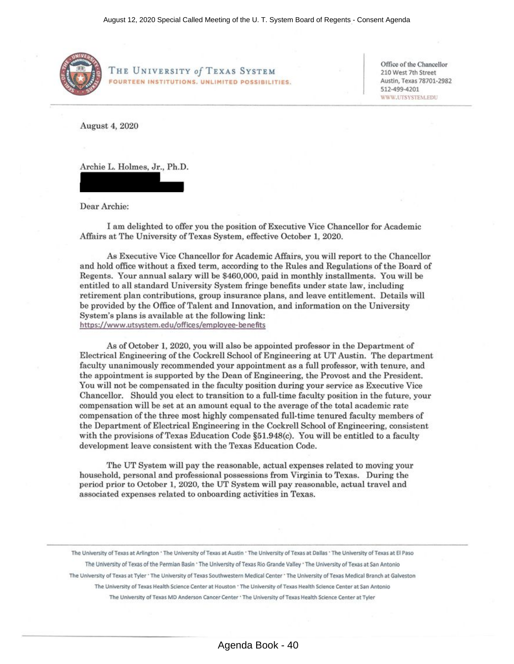

**Rl~~ . THE U NIVERSITY** *of* **TEXAS SYSTEM FOURTEEN INSTITUTIONS. UNLIMITED POSSIBILITIES.**  Office of the Chancellor 210 West 7th Street Austin, Texas 78701-2982 512-499-4201 WWW.UTSYSTEM.EDU

August 4, 2020

Archie L. Holmes, Jr., Ph.D.

Dear Archie:

I am delighted to offer you the position of Executive Vice Chancellor for Academic Affairs at The University of Texas System, effective October 1, 2020.

As Executive Vice Chancellor for Academic Affairs, you will report to the Chancellor and hold office without a fixed term, according to the Rules and Regulations of the Board of Regents. Your annual salary will be \$460,000, paid in monthly installments. You will be entitled to all standard University System fringe benefits under state law, including retirement plan contributions, group insurance plans, and leave entitlement. Details will be provided by the Office of Talent and Innovation, and information on the University System's plans is available at the following link: https://www.utsystem.edu/offices/employee-benefits

As of October 1, 2020, you will also be appointed professor in the Department of Electrical Engineering of the Cockrell School of Engineering at UT Austin. The department faculty unanimously recommended your appointment as a full professor, with tenure, and the appointment is supported by the Dean of Engineering, the Provost and the President. You will not be compensated in the faculty position during your service as Executive Vice Chancellor. Should you elect to tmnsition to a full-time faculty position in the future, your compensation will be set at an amount equal to the average of the total academic rate compensation of the three most highly compensated full-time tenured faculty members of the Department of Electrical Engineering in the Cockrell School of Engineering, consistent with the provisions of Texas Education Code §51.948(c). You will be entitled to a faculty development leave consistent with the Texas Education Code.

The UT System will pay the reasonable, actual expenses related to moving your household, personal and professional possessions from Virginia to Texas. During the period prior to October 1, 2020, the UT System will pay reasonable, actual travel and associated expenses related to onboarding activities in Texas.

The University of Texas at Arlington · The University of Texas at Austin · The University of Texas at Dallas · The University of Texas at El Paso The University of Texas of the Permian Basin · The University of Texas Rio Grande Valley · The University of Texas at San Antonio The University of Texas at Tyler \* The University of Texas Southwestern Medical Center \* The University of Texas Medical Branch at Galveston The University of Texas Health Science Center at Houston · The University of Texas Health Science Center at San Antonio The University of Texas MD Anderson Cancer Center · The University of Texas Health Science Center at Tyler